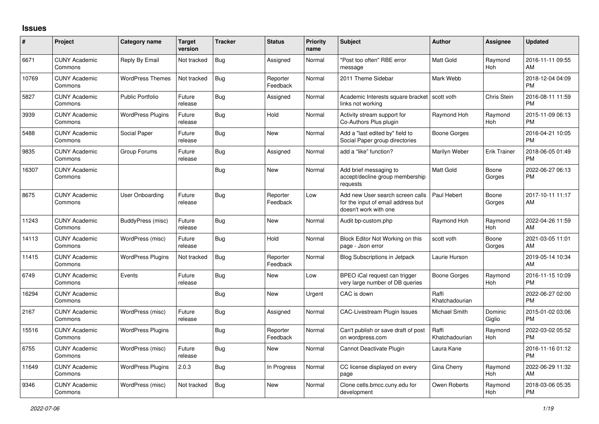## **Issues**

| #     | Project                         | <b>Category name</b>     | <b>Target</b><br>version | <b>Tracker</b> | <b>Status</b>        | <b>Priority</b><br>name | <b>Subject</b>                                                                                  | <b>Author</b>           | <b>Assignee</b>     | <b>Updated</b>                |
|-------|---------------------------------|--------------------------|--------------------------|----------------|----------------------|-------------------------|-------------------------------------------------------------------------------------------------|-------------------------|---------------------|-------------------------------|
| 6671  | <b>CUNY Academic</b><br>Commons | Reply By Email           | Not tracked              | <b>Bug</b>     | Assigned             | Normal                  | "Post too often" RBE error<br>message                                                           | <b>Matt Gold</b>        | Raymond<br>Hoh      | 2016-11-11 09:55<br>AM        |
| 10769 | <b>CUNY Academic</b><br>Commons | <b>WordPress Themes</b>  | Not tracked              | Bug            | Reporter<br>Feedback | Normal                  | 2011 Theme Sidebar                                                                              | Mark Webb               |                     | 2018-12-04 04:09<br><b>PM</b> |
| 5827  | <b>CUNY Academic</b><br>Commons | <b>Public Portfolio</b>  | Future<br>release        | <b>Bug</b>     | Assigned             | Normal                  | Academic Interests square bracket<br>links not working                                          | scott voth              | <b>Chris Stein</b>  | 2016-08-11 11:59<br><b>PM</b> |
| 3939  | <b>CUNY Academic</b><br>Commons | <b>WordPress Plugins</b> | Future<br>release        | <b>Bug</b>     | Hold                 | Normal                  | Activity stream support for<br>Co-Authors Plus plugin                                           | Raymond Hoh             | Raymond<br>Hoh      | 2015-11-09 06:13<br><b>PM</b> |
| 5488  | <b>CUNY Academic</b><br>Commons | Social Paper             | Future<br>release        | Bug            | New                  | Normal                  | Add a "last edited by" field to<br>Social Paper group directories                               | Boone Gorges            |                     | 2016-04-21 10:05<br><b>PM</b> |
| 9835  | <b>CUNY Academic</b><br>Commons | Group Forums             | Future<br>release        | <b>Bug</b>     | Assigned             | Normal                  | add a "like" function?                                                                          | Marilyn Weber           | <b>Erik Trainer</b> | 2018-06-05 01:49<br><b>PM</b> |
| 16307 | <b>CUNY Academic</b><br>Commons |                          |                          | Bug            | <b>New</b>           | Normal                  | Add brief messaging to<br>accept/decline group membership<br>requests                           | Matt Gold               | Boone<br>Gorges     | 2022-06-27 06:13<br><b>PM</b> |
| 8675  | <b>CUNY Academic</b><br>Commons | User Onboarding          | Future<br>release        | <b>Bug</b>     | Reporter<br>Feedback | Low                     | Add new User search screen calls<br>for the input of email address but<br>doesn't work with one | Paul Hebert             | Boone<br>Gorges     | 2017-10-11 11:17<br>AM        |
| 11243 | <b>CUNY Academic</b><br>Commons | BuddyPress (misc)        | Future<br>release        | Bug            | New                  | Normal                  | Audit bp-custom.php                                                                             | Raymond Hoh             | Raymond<br>Hoh      | 2022-04-26 11:59<br>AM        |
| 14113 | <b>CUNY Academic</b><br>Commons | WordPress (misc)         | Future<br>release        | Bug            | Hold                 | Normal                  | Block Editor Not Working on this<br>page - Json error                                           | scott voth              | Boone<br>Gorges     | 2021-03-05 11:01<br>AM        |
| 11415 | <b>CUNY Academic</b><br>Commons | <b>WordPress Plugins</b> | Not tracked              | <b>Bug</b>     | Reporter<br>Feedback | Normal                  | <b>Blog Subscriptions in Jetpack</b>                                                            | Laurie Hurson           |                     | 2019-05-14 10:34<br>AM        |
| 6749  | <b>CUNY Academic</b><br>Commons | Events                   | Future<br>release        | <b>Bug</b>     | New                  | Low                     | BPEO iCal request can trigger<br>very large number of DB queries                                | <b>Boone Gorges</b>     | Raymond<br>Hoh      | 2016-11-15 10:09<br><b>PM</b> |
| 16294 | <b>CUNY Academic</b><br>Commons |                          |                          | <b>Bug</b>     | <b>New</b>           | Urgent                  | CAC is down                                                                                     | Raffi<br>Khatchadourian |                     | 2022-06-27 02:00<br><b>PM</b> |
| 2167  | <b>CUNY Academic</b><br>Commons | WordPress (misc)         | Future<br>release        | Bug            | Assigned             | Normal                  | <b>CAC-Livestream Plugin Issues</b>                                                             | Michael Smith           | Dominic<br>Giglio   | 2015-01-02 03:06<br><b>PM</b> |
| 15516 | <b>CUNY Academic</b><br>Commons | <b>WordPress Plugins</b> |                          | Bug            | Reporter<br>Feedback | Normal                  | Can't publish or save draft of post<br>on wordpress.com                                         | Raffi<br>Khatchadourian | Raymond<br>Hoh      | 2022-03-02 05:52<br><b>PM</b> |
| 6755  | <b>CUNY Academic</b><br>Commons | WordPress (misc)         | Future<br>release        | <b>Bug</b>     | New                  | Normal                  | Cannot Deactivate Plugin                                                                        | Laura Kane              |                     | 2016-11-16 01:12<br><b>PM</b> |
| 11649 | <b>CUNY Academic</b><br>Commons | <b>WordPress Plugins</b> | 2.0.3                    | <b>Bug</b>     | In Progress          | Normal                  | CC license displayed on every<br>page                                                           | Gina Cherry             | Raymond<br>Hoh      | 2022-06-29 11:32<br>AM        |
| 9346  | <b>CUNY Academic</b><br>Commons | WordPress (misc)         | Not tracked              | <b>Bug</b>     | New                  | Normal                  | Clone cetls.bmcc.cuny.edu for<br>development                                                    | Owen Roberts            | Raymond<br>Hoh      | 2018-03-06 05:35<br><b>PM</b> |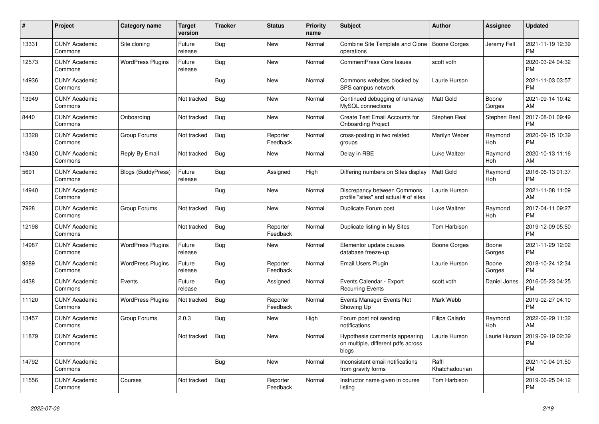| #     | <b>Project</b>                  | <b>Category name</b>     | <b>Target</b><br>version | <b>Tracker</b> | <b>Status</b>        | <b>Priority</b><br>name | <b>Subject</b>                                                               | <b>Author</b>           | Assignee        | <b>Updated</b>                |
|-------|---------------------------------|--------------------------|--------------------------|----------------|----------------------|-------------------------|------------------------------------------------------------------------------|-------------------------|-----------------|-------------------------------|
| 13331 | <b>CUNY Academic</b><br>Commons | Site cloning             | Future<br>release        | Bug            | <b>New</b>           | Normal                  | Combine Site Template and Clone<br>operations                                | <b>Boone Gorges</b>     | Jeremy Felt     | 2021-11-19 12:39<br><b>PM</b> |
| 12573 | <b>CUNY Academic</b><br>Commons | <b>WordPress Plugins</b> | Future<br>release        | Bug            | New                  | Normal                  | <b>CommentPress Core Issues</b>                                              | scott voth              |                 | 2020-03-24 04:32<br><b>PM</b> |
| 14936 | <b>CUNY Academic</b><br>Commons |                          |                          | Bug            | <b>New</b>           | Normal                  | Commons websites blocked by<br>SPS campus network                            | Laurie Hurson           |                 | 2021-11-03 03:57<br><b>PM</b> |
| 13949 | <b>CUNY Academic</b><br>Commons |                          | Not tracked              | <b>Bug</b>     | <b>New</b>           | Normal                  | Continued debugging of runaway<br>MySQL connections                          | <b>Matt Gold</b>        | Boone<br>Gorges | 2021-09-14 10:42<br><b>AM</b> |
| 8440  | <b>CUNY Academic</b><br>Commons | Onboarding               | Not tracked              | Bug            | New                  | Normal                  | Create Test Email Accounts for<br><b>Onboarding Project</b>                  | Stephen Real            | Stephen Real    | 2017-08-01 09:49<br><b>PM</b> |
| 13328 | <b>CUNY Academic</b><br>Commons | Group Forums             | Not tracked              | <b>Bug</b>     | Reporter<br>Feedback | Normal                  | cross-posting in two related<br>groups                                       | Marilyn Weber           | Raymond<br>Hoh  | 2020-09-15 10:39<br><b>PM</b> |
| 13430 | <b>CUNY Academic</b><br>Commons | Reply By Email           | Not tracked              | <b>Bug</b>     | <b>New</b>           | Normal                  | Delay in RBE                                                                 | Luke Waltzer            | Raymond<br>Hoh  | 2020-10-13 11:16<br>AM        |
| 5691  | <b>CUNY Academic</b><br>Commons | Blogs (BuddyPress)       | Future<br>release        | Bug            | Assigned             | High                    | Differing numbers on Sites display                                           | <b>Matt Gold</b>        | Raymond<br>Hoh  | 2016-06-13 01:37<br><b>PM</b> |
| 14940 | <b>CUNY Academic</b><br>Commons |                          |                          | <b>Bug</b>     | <b>New</b>           | Normal                  | Discrepancy between Commons<br>profile "sites" and actual # of sites         | Laurie Hurson           |                 | 2021-11-08 11:09<br>AM        |
| 7928  | <b>CUNY Academic</b><br>Commons | Group Forums             | Not tracked              | Bug            | New                  | Normal                  | Duplicate Forum post                                                         | Luke Waltzer            | Raymond<br>Hoh  | 2017-04-11 09:27<br><b>PM</b> |
| 12198 | <b>CUNY Academic</b><br>Commons |                          | Not tracked              | Bug            | Reporter<br>Feedback | Normal                  | Duplicate listing in My Sites                                                | Tom Harbison            |                 | 2019-12-09 05:50<br><b>PM</b> |
| 14987 | <b>CUNY Academic</b><br>Commons | <b>WordPress Plugins</b> | Future<br>release        | <b>Bug</b>     | <b>New</b>           | Normal                  | Elementor update causes<br>database freeze-up                                | Boone Gorges            | Boone<br>Gorges | 2021-11-29 12:02<br><b>PM</b> |
| 9289  | <b>CUNY Academic</b><br>Commons | <b>WordPress Plugins</b> | Future<br>release        | Bug            | Reporter<br>Feedback | Normal                  | Email Users Plugin                                                           | Laurie Hurson           | Boone<br>Gorges | 2018-10-24 12:34<br><b>PM</b> |
| 4438  | <b>CUNY Academic</b><br>Commons | Events                   | Future<br>release        | Bug            | Assigned             | Normal                  | Events Calendar - Export<br><b>Recurring Events</b>                          | scott voth              | Daniel Jones    | 2016-05-23 04:25<br><b>PM</b> |
| 11120 | <b>CUNY Academic</b><br>Commons | <b>WordPress Plugins</b> | Not tracked              | Bug            | Reporter<br>Feedback | Normal                  | Events Manager Events Not<br>Showing Up                                      | Mark Webb               |                 | 2019-02-27 04:10<br><b>PM</b> |
| 13457 | <b>CUNY Academic</b><br>Commons | Group Forums             | 2.0.3                    | Bug            | <b>New</b>           | High                    | Forum post not sending<br>notifications                                      | Filipa Calado           | Raymond<br>Hoh  | 2022-06-29 11:32<br><b>AM</b> |
| 11879 | <b>CUNY Academic</b><br>Commons |                          | Not tracked              | Bug            | New                  | Normal                  | Hypothesis comments appearing<br>on multiple, different pdfs across<br>blogs | Laurie Hurson           | Laurie Hurson   | 2019-09-19 02:39<br><b>PM</b> |
| 14792 | <b>CUNY Academic</b><br>Commons |                          |                          | Bug            | <b>New</b>           | Normal                  | Inconsistent email notifications<br>from gravity forms                       | Raffi<br>Khatchadourian |                 | 2021-10-04 01:50<br><b>PM</b> |
| 11556 | <b>CUNY Academic</b><br>Commons | Courses                  | Not tracked              | Bug            | Reporter<br>Feedback | Normal                  | Instructor name given in course<br>listing                                   | Tom Harbison            |                 | 2019-06-25 04:12<br><b>PM</b> |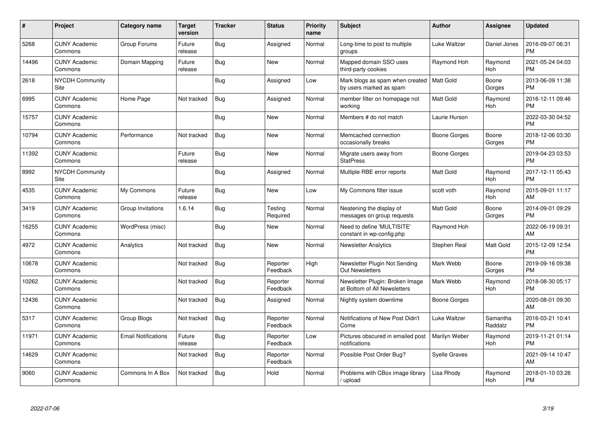| #     | Project                               | Category name              | <b>Target</b><br>version | <b>Tracker</b> | <b>Status</b>        | Priority<br>name | <b>Subject</b>                                                  | <b>Author</b>        | <b>Assignee</b>     | <b>Updated</b>                |
|-------|---------------------------------------|----------------------------|--------------------------|----------------|----------------------|------------------|-----------------------------------------------------------------|----------------------|---------------------|-------------------------------|
| 5268  | <b>CUNY Academic</b><br>Commons       | Group Forums               | Future<br>release        | <b>Bug</b>     | Assigned             | Normal           | Long-time to post to multiple<br>groups                         | Luke Waltzer         | Daniel Jones        | 2016-09-07 06:31<br><b>PM</b> |
| 14496 | <b>CUNY Academic</b><br>Commons       | Domain Mapping             | Future<br>release        | Bug            | <b>New</b>           | Normal           | Mapped domain SSO uses<br>third-party cookies                   | Raymond Hoh          | Raymond<br>Hoh      | 2021-05-24 04:03<br><b>PM</b> |
| 2618  | NYCDH Community<br><b>Site</b>        |                            |                          | <b>Bug</b>     | Assigned             | Low              | Mark blogs as spam when created<br>by users marked as spam      | l Matt Gold          | Boone<br>Gorges     | 2013-06-09 11:38<br><b>PM</b> |
| 6995  | <b>CUNY Academic</b><br>Commons       | Home Page                  | Not tracked              | Bug            | Assigned             | Normal           | member filter on homepage not<br>working                        | <b>Matt Gold</b>     | Raymond<br>Hoh      | 2016-12-11 09:46<br><b>PM</b> |
| 15757 | <b>CUNY Academic</b><br>Commons       |                            |                          | <b>Bug</b>     | <b>New</b>           | Normal           | Members # do not match                                          | Laurie Hurson        |                     | 2022-03-30 04:52<br><b>PM</b> |
| 10794 | <b>CUNY Academic</b><br>Commons       | Performance                | Not tracked              | Bug            | <b>New</b>           | Normal           | Memcached connection<br>occasionally breaks                     | Boone Gorges         | Boone<br>Gorges     | 2018-12-06 03:30<br><b>PM</b> |
| 11392 | <b>CUNY Academic</b><br>Commons       |                            | Future<br>release        | <b>Bug</b>     | <b>New</b>           | Normal           | Migrate users away from<br><b>StatPress</b>                     | Boone Gorges         |                     | 2019-04-23 03:53<br><b>PM</b> |
| 8992  | <b>NYCDH Community</b><br><b>Site</b> |                            |                          | Bug            | Assigned             | Normal           | Multiple RBE error reports                                      | <b>Matt Gold</b>     | Raymond<br>Hoh      | 2017-12-11 05:43<br><b>PM</b> |
| 4535  | <b>CUNY Academic</b><br>Commons       | My Commons                 | Future<br>release        | Bug            | <b>New</b>           | Low              | My Commons filter issue                                         | scott voth           | Raymond<br>Hoh      | 2015-09-01 11:17<br>AM        |
| 3419  | <b>CUNY Academic</b><br>Commons       | Group Invitations          | 1.6.14                   | <b>Bug</b>     | Testing<br>Required  | Normal           | Neatening the display of<br>messages on group requests          | <b>Matt Gold</b>     | Boone<br>Gorges     | 2014-09-01 09:29<br><b>PM</b> |
| 16255 | <b>CUNY Academic</b><br>Commons       | WordPress (misc)           |                          | Bug            | New                  | Normal           | Need to define 'MULTISITE'<br>constant in wp-config.php         | Raymond Hoh          |                     | 2022-06-19 09:31<br>AM        |
| 4972  | <b>CUNY Academic</b><br>Commons       | Analytics                  | Not tracked              | <b>Bug</b>     | <b>New</b>           | Normal           | Newsletter Analytics                                            | Stephen Real         | Matt Gold           | 2015-12-09 12:54<br><b>PM</b> |
| 10678 | <b>CUNY Academic</b><br>Commons       |                            | Not tracked              | Bug            | Reporter<br>Feedback | High             | Newsletter Plugin Not Sending<br><b>Out Newsletters</b>         | Mark Webb            | Boone<br>Gorges     | 2019-09-16 09:38<br><b>PM</b> |
| 10262 | <b>CUNY Academic</b><br>Commons       |                            | Not tracked              | Bug            | Reporter<br>Feedback | Normal           | Newsletter Plugin: Broken Image<br>at Bottom of All Newsletters | Mark Webb            | Raymond<br>Hoh      | 2018-08-30 05:17<br><b>PM</b> |
| 12436 | <b>CUNY Academic</b><br>Commons       |                            | Not tracked              | <b>Bug</b>     | Assigned             | Normal           | Nightly system downtime                                         | Boone Gorges         |                     | 2020-08-01 09:30<br>AM        |
| 5317  | <b>CUNY Academic</b><br>Commons       | Group Blogs                | Not tracked              | Bug            | Reporter<br>Feedback | Normal           | Notifications of New Post Didn't<br>Come                        | Luke Waltzer         | Samantha<br>Raddatz | 2016-03-21 10:41<br><b>PM</b> |
| 11971 | <b>CUNY Academic</b><br>Commons       | <b>Email Notifications</b> | Future<br>release        | <b>Bug</b>     | Reporter<br>Feedback | Low              | Pictures obscured in emailed post<br>notifications              | Marilyn Weber        | Raymond<br>Hoh      | 2019-11-21 01:14<br><b>PM</b> |
| 14629 | <b>CUNY Academic</b><br>Commons       |                            | Not tracked              | Bug            | Reporter<br>Feedback | Normal           | Possible Post Order Bug?                                        | <b>Syelle Graves</b> |                     | 2021-09-14 10:47<br>AM        |
| 9060  | <b>CUNY Academic</b><br>Commons       | Commons In A Box           | Not tracked              | <b>Bug</b>     | Hold                 | Normal           | Problems with CBox image library<br>/ upload                    | Lisa Rhody           | Raymond<br>Hoh      | 2018-01-10 03:26<br><b>PM</b> |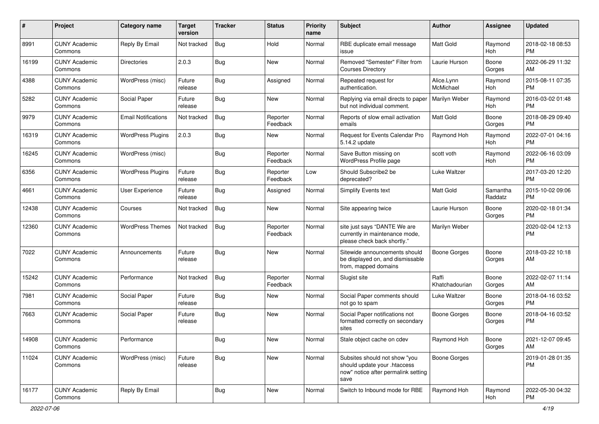| #     | Project                         | <b>Category name</b>       | <b>Target</b><br>version | <b>Tracker</b> | <b>Status</b>        | <b>Priority</b><br>name | <b>Subject</b>                                                                                               | Author                  | <b>Assignee</b>     | <b>Updated</b>                |
|-------|---------------------------------|----------------------------|--------------------------|----------------|----------------------|-------------------------|--------------------------------------------------------------------------------------------------------------|-------------------------|---------------------|-------------------------------|
| 8991  | <b>CUNY Academic</b><br>Commons | Reply By Email             | Not tracked              | Bug            | Hold                 | Normal                  | RBE duplicate email message<br>issue                                                                         | <b>Matt Gold</b>        | Raymond<br>Hoh      | 2018-02-18 08:53<br><b>PM</b> |
| 16199 | <b>CUNY Academic</b><br>Commons | <b>Directories</b>         | 2.0.3                    | <b>Bug</b>     | New                  | Normal                  | Removed "Semester" Filter from<br><b>Courses Directory</b>                                                   | Laurie Hurson           | Boone<br>Gorges     | 2022-06-29 11:32<br>AM        |
| 4388  | <b>CUNY Academic</b><br>Commons | WordPress (misc)           | Future<br>release        | Bug            | Assigned             | Normal                  | Repeated request for<br>authentication.                                                                      | Alice.Lynn<br>McMichael | Raymond<br>Hoh      | 2015-08-11 07:35<br><b>PM</b> |
| 5282  | <b>CUNY Academic</b><br>Commons | Social Paper               | Future<br>release        | Bug            | New                  | Normal                  | Replying via email directs to paper<br>but not individual comment.                                           | <b>Marilyn Weber</b>    | Raymond<br>Hoh      | 2016-03-02 01:48<br><b>PM</b> |
| 9979  | <b>CUNY Academic</b><br>Commons | <b>Email Notifications</b> | Not tracked              | Bug            | Reporter<br>Feedback | Normal                  | Reports of slow email activation<br>emails                                                                   | <b>Matt Gold</b>        | Boone<br>Gorges     | 2018-08-29 09:40<br><b>PM</b> |
| 16319 | <b>CUNY Academic</b><br>Commons | <b>WordPress Plugins</b>   | 2.0.3                    | Bug            | New                  | Normal                  | Request for Events Calendar Pro<br>5.14.2 update                                                             | Raymond Hoh             | Raymond<br>Hoh      | 2022-07-01 04:16<br><b>PM</b> |
| 16245 | <b>CUNY Academic</b><br>Commons | WordPress (misc)           |                          | <b>Bug</b>     | Reporter<br>Feedback | Normal                  | Save Button missing on<br>WordPress Profile page                                                             | scott voth              | Raymond<br>Hoh      | 2022-06-16 03:09<br><b>PM</b> |
| 6356  | <b>CUNY Academic</b><br>Commons | <b>WordPress Plugins</b>   | Future<br>release        | Bug            | Reporter<br>Feedback | Low                     | Should Subscribe2 be<br>deprecated?                                                                          | Luke Waltzer            |                     | 2017-03-20 12:20<br><b>PM</b> |
| 4661  | <b>CUNY Academic</b><br>Commons | User Experience            | Future<br>release        | Bug            | Assigned             | Normal                  | <b>Simplify Events text</b>                                                                                  | <b>Matt Gold</b>        | Samantha<br>Raddatz | 2015-10-02 09:06<br><b>PM</b> |
| 12438 | <b>CUNY Academic</b><br>Commons | Courses                    | Not tracked              | Bug            | New                  | Normal                  | Site appearing twice                                                                                         | Laurie Hurson           | Boone<br>Gorges     | 2020-02-18 01:34<br><b>PM</b> |
| 12360 | <b>CUNY Academic</b><br>Commons | <b>WordPress Themes</b>    | Not tracked              | Bug            | Reporter<br>Feedback | Normal                  | site just says "DANTE We are<br>currently in maintenance mode,<br>please check back shortly."                | Marilyn Weber           |                     | 2020-02-04 12:13<br><b>PM</b> |
| 7022  | <b>CUNY Academic</b><br>Commons | Announcements              | Future<br>release        | Bug            | New                  | Normal                  | Sitewide announcements should<br>be displayed on, and dismissable<br>from, mapped domains                    | <b>Boone Gorges</b>     | Boone<br>Gorges     | 2018-03-22 10:18<br>AM        |
| 15242 | <b>CUNY Academic</b><br>Commons | Performance                | Not tracked              | Bug            | Reporter<br>Feedback | Normal                  | Slugist site                                                                                                 | Raffi<br>Khatchadourian | Boone<br>Gorges     | 2022-02-07 11:14<br>AM        |
| 7981  | <b>CUNY Academic</b><br>Commons | Social Paper               | Future<br>release        | Bug            | New                  | Normal                  | Social Paper comments should<br>not go to spam                                                               | Luke Waltzer            | Boone<br>Gorges     | 2018-04-16 03:52<br><b>PM</b> |
| 7663  | <b>CUNY Academic</b><br>Commons | Social Paper               | Future<br>release        | Bug            | New                  | Normal                  | Social Paper notifications not<br>formatted correctly on secondary<br>sites                                  | <b>Boone Gorges</b>     | Boone<br>Gorges     | 2018-04-16 03:52<br><b>PM</b> |
| 14908 | <b>CUNY Academic</b><br>Commons | Performance                |                          | <b>Bug</b>     | New                  | Normal                  | Stale object cache on cdev                                                                                   | Raymond Hoh             | Boone<br>Gorges     | 2021-12-07 09:45<br>AM        |
| 11024 | <b>CUNY Academic</b><br>Commons | WordPress (misc)           | Future<br>release        | Bug            | New                  | Normal                  | Subsites should not show "you<br>should update your .htaccess<br>now" notice after permalink setting<br>save | <b>Boone Gorges</b>     |                     | 2019-01-28 01:35<br><b>PM</b> |
| 16177 | <b>CUNY Academic</b><br>Commons | Reply By Email             |                          | Bug            | New                  | Normal                  | Switch to Inbound mode for RBE                                                                               | Raymond Hoh             | Raymond<br>Hoh      | 2022-05-30 04:32<br><b>PM</b> |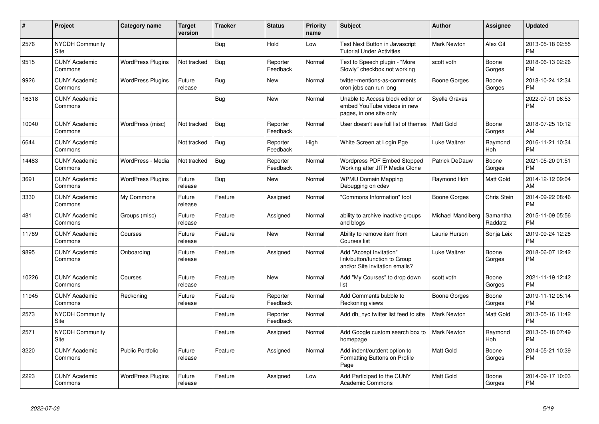| #     | Project                               | <b>Category name</b>     | <b>Target</b><br>version | <b>Tracker</b> | <b>Status</b>        | <b>Priority</b><br>name | <b>Subject</b>                                                                             | Author               | Assignee            | <b>Updated</b>                |
|-------|---------------------------------------|--------------------------|--------------------------|----------------|----------------------|-------------------------|--------------------------------------------------------------------------------------------|----------------------|---------------------|-------------------------------|
| 2576  | <b>NYCDH Community</b><br>Site        |                          |                          | <b>Bug</b>     | Hold                 | Low                     | Test Next Button in Javascript<br><b>Tutorial Under Activities</b>                         | <b>Mark Newton</b>   | Alex Gil            | 2013-05-18 02:55<br><b>PM</b> |
| 9515  | <b>CUNY Academic</b><br>Commons       | <b>WordPress Plugins</b> | Not tracked              | Bug            | Reporter<br>Feedback | Normal                  | Text to Speech plugin - "More<br>Slowly" checkbox not working                              | scott voth           | Boone<br>Gorges     | 2018-06-13 02:26<br><b>PM</b> |
| 9926  | <b>CUNY Academic</b><br>Commons       | <b>WordPress Plugins</b> | Future<br>release        | <b>Bug</b>     | <b>New</b>           | Normal                  | twitter-mentions-as-comments<br>cron jobs can run long                                     | Boone Gorges         | Boone<br>Gorges     | 2018-10-24 12:34<br><b>PM</b> |
| 16318 | <b>CUNY Academic</b><br>Commons       |                          |                          | Bug            | New                  | Normal                  | Unable to Access block editor or<br>embed YouTube videos in new<br>pages, in one site only | <b>Syelle Graves</b> |                     | 2022-07-01 06:53<br><b>PM</b> |
| 10040 | <b>CUNY Academic</b><br>Commons       | WordPress (misc)         | Not tracked              | Bug            | Reporter<br>Feedback | Normal                  | User doesn't see full list of themes                                                       | Matt Gold            | Boone<br>Gorges     | 2018-07-25 10:12<br>AM        |
| 6644  | <b>CUNY Academic</b><br>Commons       |                          | Not tracked              | Bug            | Reporter<br>Feedback | High                    | White Screen at Login Pge                                                                  | Luke Waltzer         | Raymond<br>Hoh      | 2016-11-21 10:34<br><b>PM</b> |
| 14483 | <b>CUNY Academic</b><br>Commons       | WordPress - Media        | Not tracked              | Bug            | Reporter<br>Feedback | Normal                  | <b>Wordpress PDF Embed Stopped</b><br>Working after JITP Media Clone                       | Patrick DeDauw       | Boone<br>Gorges     | 2021-05-20 01:51<br><b>PM</b> |
| 3691  | <b>CUNY Academic</b><br>Commons       | <b>WordPress Plugins</b> | Future<br>release        | <b>Bug</b>     | New                  | Normal                  | <b>WPMU Domain Mapping</b><br>Debugging on cdev                                            | Raymond Hoh          | Matt Gold           | 2014-12-12 09:04<br>AM        |
| 3330  | <b>CUNY Academic</b><br>Commons       | My Commons               | Future<br>release        | Feature        | Assigned             | Normal                  | "Commons Information" tool                                                                 | Boone Gorges         | Chris Stein         | 2014-09-22 08:46<br><b>PM</b> |
| 481   | <b>CUNY Academic</b><br>Commons       | Groups (misc)            | Future<br>release        | Feature        | Assigned             | Normal                  | ability to archive inactive groups<br>and blogs                                            | Michael Mandiberg    | Samantha<br>Raddatz | 2015-11-09 05:56<br><b>PM</b> |
| 11789 | <b>CUNY Academic</b><br>Commons       | Courses                  | Future<br>release        | Feature        | <b>New</b>           | Normal                  | Ability to remove item from<br>Courses list                                                | Laurie Hurson        | Sonja Leix          | 2019-09-24 12:28<br><b>PM</b> |
| 9895  | <b>CUNY Academic</b><br>Commons       | Onboarding               | Future<br>release        | Feature        | Assigned             | Normal                  | Add "Accept Invitation"<br>link/button/function to Group<br>and/or Site invitation emails? | Luke Waltzer         | Boone<br>Gorges     | 2018-06-07 12:42<br><b>PM</b> |
| 10226 | <b>CUNY Academic</b><br>Commons       | Courses                  | Future<br>release        | Feature        | New                  | Normal                  | Add "My Courses" to drop down<br>list                                                      | scott voth           | Boone<br>Gorges     | 2021-11-19 12:42<br><b>PM</b> |
| 11945 | <b>CUNY Academic</b><br>Commons       | Reckoning                | Future<br>release        | Feature        | Reporter<br>Feedback | Normal                  | Add Comments bubble to<br>Reckoning views                                                  | Boone Gorges         | Boone<br>Gorges     | 2019-11-12 05:14<br><b>PM</b> |
| 2573  | <b>NYCDH Community</b><br>Site        |                          |                          | Feature        | Reporter<br>Feedback | Normal                  | Add dh nyc twitter list feed to site                                                       | Mark Newton          | Matt Gold           | 2013-05-16 11:42<br><b>PM</b> |
| 2571  | <b>NYCDH Community</b><br><b>Site</b> |                          |                          | Feature        | Assigned             | Normal                  | Add Google custom search box to<br>homepage                                                | Mark Newton          | Raymond<br>Hoh      | 2013-05-18 07:49<br><b>PM</b> |
| 3220  | <b>CUNY Academic</b><br>Commons       | <b>Public Portfolio</b>  | Future<br>release        | Feature        | Assigned             | Normal                  | Add indent/outdent option to<br>Formatting Buttons on Profile<br>Page                      | <b>Matt Gold</b>     | Boone<br>Gorges     | 2014-05-21 10:39<br><b>PM</b> |
| 2223  | <b>CUNY Academic</b><br>Commons       | <b>WordPress Plugins</b> | Future<br>release        | Feature        | Assigned             | Low                     | Add Participad to the CUNY<br><b>Academic Commons</b>                                      | <b>Matt Gold</b>     | Boone<br>Gorges     | 2014-09-17 10:03<br><b>PM</b> |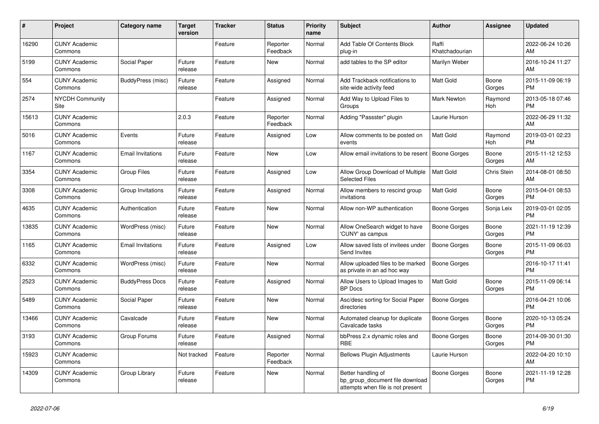| #     | Project                         | <b>Category name</b>     | <b>Target</b><br>version | <b>Tracker</b> | <b>Status</b>        | <b>Priority</b><br>name | <b>Subject</b>                                                                             | <b>Author</b>           | Assignee        | <b>Updated</b>                |
|-------|---------------------------------|--------------------------|--------------------------|----------------|----------------------|-------------------------|--------------------------------------------------------------------------------------------|-------------------------|-----------------|-------------------------------|
| 16290 | <b>CUNY Academic</b><br>Commons |                          |                          | Feature        | Reporter<br>Feedback | Normal                  | Add Table Of Contents Block<br>plug-in                                                     | Raffi<br>Khatchadourian |                 | 2022-06-24 10:26<br>AM.       |
| 5199  | <b>CUNY Academic</b><br>Commons | Social Paper             | Future<br>release        | Feature        | New                  | Normal                  | add tables to the SP editor                                                                | Marilyn Weber           |                 | 2016-10-24 11:27<br>AM        |
| 554   | <b>CUNY Academic</b><br>Commons | BuddyPress (misc)        | Future<br>release        | Feature        | Assigned             | Normal                  | Add Trackback notifications to<br>site-wide activity feed                                  | Matt Gold               | Boone<br>Gorges | 2015-11-09 06:19<br><b>PM</b> |
| 2574  | <b>NYCDH Community</b><br>Site  |                          |                          | Feature        | Assigned             | Normal                  | Add Way to Upload Files to<br>Groups                                                       | <b>Mark Newton</b>      | Raymond<br>Hoh  | 2013-05-18 07:46<br><b>PM</b> |
| 15613 | <b>CUNY Academic</b><br>Commons |                          | 2.0.3                    | Feature        | Reporter<br>Feedback | Normal                  | Adding "Passster" plugin                                                                   | Laurie Hurson           |                 | 2022-06-29 11:32<br><b>AM</b> |
| 5016  | <b>CUNY Academic</b><br>Commons | Events                   | Future<br>release        | Feature        | Assigned             | Low                     | Allow comments to be posted on<br>events                                                   | Matt Gold               | Raymond<br>Hoh  | 2019-03-01 02:23<br><b>PM</b> |
| 1167  | <b>CUNY Academic</b><br>Commons | <b>Email Invitations</b> | Future<br>release        | Feature        | <b>New</b>           | Low                     | Allow email invitations to be resent                                                       | <b>Boone Gorges</b>     | Boone<br>Gorges | 2015-11-12 12:53<br>AM        |
| 3354  | <b>CUNY Academic</b><br>Commons | <b>Group Files</b>       | Future<br>release        | Feature        | Assigned             | Low                     | Allow Group Download of Multiple<br><b>Selected Files</b>                                  | Matt Gold               | Chris Stein     | 2014-08-01 08:50<br>AM        |
| 3308  | <b>CUNY Academic</b><br>Commons | Group Invitations        | Future<br>release        | Feature        | Assigned             | Normal                  | Allow members to rescind group<br>invitations                                              | Matt Gold               | Boone<br>Gorges | 2015-04-01 08:53<br><b>PM</b> |
| 4635  | <b>CUNY Academic</b><br>Commons | Authentication           | Future<br>release        | Feature        | <b>New</b>           | Normal                  | Allow non-WP authentication                                                                | Boone Gorges            | Sonja Leix      | 2019-03-01 02:05<br><b>PM</b> |
| 13835 | <b>CUNY Academic</b><br>Commons | WordPress (misc)         | Future<br>release        | Feature        | <b>New</b>           | Normal                  | Allow OneSearch widget to have<br>'CUNY' as campus                                         | Boone Gorges            | Boone<br>Gorges | 2021-11-19 12:39<br><b>PM</b> |
| 1165  | <b>CUNY Academic</b><br>Commons | <b>Email Invitations</b> | Future<br>release        | Feature        | Assigned             | Low                     | Allow saved lists of invitees under<br>Send Invites                                        | <b>Boone Gorges</b>     | Boone<br>Gorges | 2015-11-09 06:03<br><b>PM</b> |
| 6332  | <b>CUNY Academic</b><br>Commons | WordPress (misc)         | Future<br>release        | Feature        | <b>New</b>           | Normal                  | Allow uploaded files to be marked<br>as private in an ad hoc way                           | <b>Boone Gorges</b>     |                 | 2016-10-17 11:41<br><b>PM</b> |
| 2523  | <b>CUNY Academic</b><br>Commons | <b>BuddyPress Docs</b>   | Future<br>release        | Feature        | Assigned             | Normal                  | Allow Users to Upload Images to<br><b>BP</b> Docs                                          | <b>Matt Gold</b>        | Boone<br>Gorges | 2015-11-09 06:14<br><b>PM</b> |
| 5489  | <b>CUNY Academic</b><br>Commons | Social Paper             | Future<br>release        | Feature        | <b>New</b>           | Normal                  | Asc/desc sorting for Social Paper<br>directories                                           | Boone Gorges            |                 | 2016-04-21 10:06<br><b>PM</b> |
| 13466 | <b>CUNY Academic</b><br>Commons | Cavalcade                | Future<br>release        | Feature        | <b>New</b>           | Normal                  | Automated cleanup for duplicate<br>Cavalcade tasks                                         | Boone Gorges            | Boone<br>Gorges | 2020-10-13 05:24<br><b>PM</b> |
| 3193  | <b>CUNY Academic</b><br>Commons | Group Forums             | Future<br>release        | Feature        | Assigned             | Normal                  | bbPress 2.x dynamic roles and<br>RBE                                                       | Boone Gorges            | Boone<br>Gorges | 2014-09-30 01:30<br><b>PM</b> |
| 15923 | <b>CUNY Academic</b><br>Commons |                          | Not tracked              | Feature        | Reporter<br>Feedback | Normal                  | <b>Bellows Plugin Adjustments</b>                                                          | Laurie Hurson           |                 | 2022-04-20 10:10<br>AM        |
| 14309 | <b>CUNY Academic</b><br>Commons | Group Library            | Future<br>release        | Feature        | <b>New</b>           | Normal                  | Better handling of<br>bp group document file download<br>attempts when file is not present | Boone Gorges            | Boone<br>Gorges | 2021-11-19 12:28<br><b>PM</b> |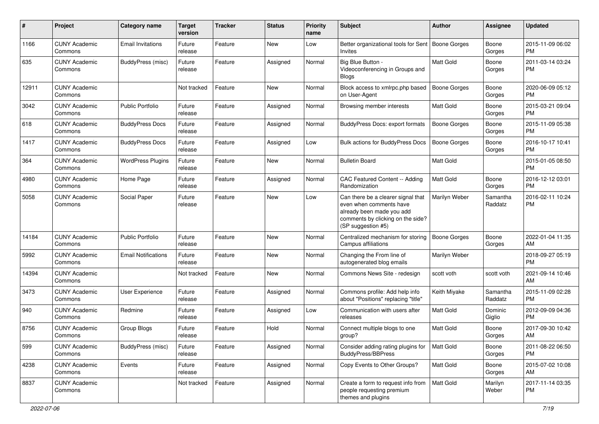| $\#$  | Project                         | <b>Category name</b>       | <b>Target</b><br>version | <b>Tracker</b> | <b>Status</b> | Priority<br>name | <b>Subject</b>                                                                                                                                        | Author              | <b>Assignee</b>     | <b>Updated</b>                |
|-------|---------------------------------|----------------------------|--------------------------|----------------|---------------|------------------|-------------------------------------------------------------------------------------------------------------------------------------------------------|---------------------|---------------------|-------------------------------|
| 1166  | <b>CUNY Academic</b><br>Commons | <b>Email Invitations</b>   | Future<br>release        | Feature        | <b>New</b>    | Low              | Better organizational tools for Sent   Boone Gorges<br>Invites                                                                                        |                     | Boone<br>Gorges     | 2015-11-09 06:02<br><b>PM</b> |
| 635   | <b>CUNY Academic</b><br>Commons | BuddyPress (misc)          | Future<br>release        | Feature        | Assigned      | Normal           | Big Blue Button -<br>Videoconferencing in Groups and<br><b>Blogs</b>                                                                                  | Matt Gold           | Boone<br>Gorges     | 2011-03-14 03:24<br><b>PM</b> |
| 12911 | <b>CUNY Academic</b><br>Commons |                            | Not tracked              | Feature        | New           | Normal           | Block access to xmlrpc.php based<br>on User-Agent                                                                                                     | <b>Boone Gorges</b> | Boone<br>Gorges     | 2020-06-09 05:12<br><b>PM</b> |
| 3042  | <b>CUNY Academic</b><br>Commons | <b>Public Portfolio</b>    | Future<br>release        | Feature        | Assigned      | Normal           | Browsing member interests                                                                                                                             | Matt Gold           | Boone<br>Gorges     | 2015-03-21 09:04<br><b>PM</b> |
| 618   | <b>CUNY Academic</b><br>Commons | <b>BuddyPress Docs</b>     | Future<br>release        | Feature        | Assigned      | Normal           | BuddyPress Docs: export formats                                                                                                                       | <b>Boone Gorges</b> | Boone<br>Gorges     | 2015-11-09 05:38<br><b>PM</b> |
| 1417  | <b>CUNY Academic</b><br>Commons | <b>BuddyPress Docs</b>     | Future<br>release        | Feature        | Assigned      | Low              | Bulk actions for BuddyPress Docs                                                                                                                      | <b>Boone Gorges</b> | Boone<br>Gorges     | 2016-10-17 10:41<br><b>PM</b> |
| 364   | <b>CUNY Academic</b><br>Commons | <b>WordPress Plugins</b>   | Future<br>release        | Feature        | New           | Normal           | <b>Bulletin Board</b>                                                                                                                                 | <b>Matt Gold</b>    |                     | 2015-01-05 08:50<br><b>PM</b> |
| 4980  | <b>CUNY Academic</b><br>Commons | Home Page                  | Future<br>release        | Feature        | Assigned      | Normal           | CAC Featured Content -- Adding<br>Randomization                                                                                                       | <b>Matt Gold</b>    | Boone<br>Gorges     | 2016-12-12 03:01<br><b>PM</b> |
| 5058  | <b>CUNY Academic</b><br>Commons | Social Paper               | Future<br>release        | Feature        | <b>New</b>    | Low              | Can there be a clearer signal that<br>even when comments have<br>already been made you add<br>comments by clicking on the side?<br>(SP suggestion #5) | Marilyn Weber       | Samantha<br>Raddatz | 2016-02-11 10:24<br><b>PM</b> |
| 14184 | <b>CUNY Academic</b><br>Commons | Public Portfolio           | Future<br>release        | Feature        | <b>New</b>    | Normal           | Centralized mechanism for storing<br>Campus affiliations                                                                                              | <b>Boone Gorges</b> | Boone<br>Gorges     | 2022-01-04 11:35<br>AM        |
| 5992  | <b>CUNY Academic</b><br>Commons | <b>Email Notifications</b> | Future<br>release        | Feature        | <b>New</b>    | Normal           | Changing the From line of<br>autogenerated blog emails                                                                                                | Marilyn Weber       |                     | 2018-09-27 05:19<br><b>PM</b> |
| 14394 | <b>CUNY Academic</b><br>Commons |                            | Not tracked              | Feature        | <b>New</b>    | Normal           | Commons News Site - redesign                                                                                                                          | scott voth          | scott voth          | 2021-09-14 10:46<br>AM        |
| 3473  | <b>CUNY Academic</b><br>Commons | User Experience            | Future<br>release        | Feature        | Assigned      | Normal           | Commons profile: Add help info<br>about "Positions" replacing "title"                                                                                 | Keith Miyake        | Samantha<br>Raddatz | 2015-11-09 02:28<br><b>PM</b> |
| 940   | <b>CUNY Academic</b><br>Commons | Redmine                    | Future<br>release        | Feature        | Assigned      | Low              | Communication with users after<br>releases                                                                                                            | Matt Gold           | Dominic<br>Giglio   | 2012-09-09 04:36<br><b>PM</b> |
| 8756  | <b>CUNY Academic</b><br>Commons | Group Blogs                | Future<br>release        | Feature        | Hold          | Normal           | Connect multiple blogs to one<br>group?                                                                                                               | <b>Matt Gold</b>    | Boone<br>Gorges     | 2017-09-30 10:42<br>AM        |
| 599   | <b>CUNY Academic</b><br>Commons | BuddyPress (misc)          | Future<br>release        | Feature        | Assigned      | Normal           | Consider adding rating plugins for<br>BuddyPress/BBPress                                                                                              | Matt Gold           | Boone<br>Gorges     | 2011-08-22 06:50<br><b>PM</b> |
| 4238  | <b>CUNY Academic</b><br>Commons | Events                     | Future<br>release        | Feature        | Assigned      | Normal           | Copy Events to Other Groups?                                                                                                                          | Matt Gold           | Boone<br>Gorges     | 2015-07-02 10:08<br>AM        |
| 8837  | <b>CUNY Academic</b><br>Commons |                            | Not tracked              | Feature        | Assigned      | Normal           | Create a form to request info from<br>people requesting premium<br>themes and plugins                                                                 | Matt Gold           | Marilyn<br>Weber    | 2017-11-14 03:35<br><b>PM</b> |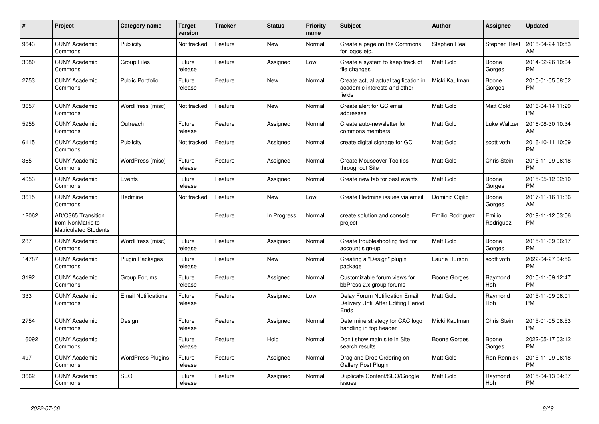| #     | <b>Project</b>                                                          | Category name              | <b>Target</b><br>version | <b>Tracker</b> | <b>Status</b> | Priority<br>name | <b>Subject</b>                                                                 | <b>Author</b>    | Assignee            | <b>Updated</b>                |
|-------|-------------------------------------------------------------------------|----------------------------|--------------------------|----------------|---------------|------------------|--------------------------------------------------------------------------------|------------------|---------------------|-------------------------------|
| 9643  | <b>CUNY Academic</b><br>Commons                                         | Publicity                  | Not tracked              | Feature        | <b>New</b>    | Normal           | Create a page on the Commons<br>for logos etc.                                 | Stephen Real     | Stephen Real        | 2018-04-24 10:53<br>AM        |
| 3080  | <b>CUNY Academic</b><br>Commons                                         | <b>Group Files</b>         | Future<br>release        | Feature        | Assigned      | Low              | Create a system to keep track of<br>file changes                               | <b>Matt Gold</b> | Boone<br>Gorges     | 2014-02-26 10:04<br><b>PM</b> |
| 2753  | <b>CUNY Academic</b><br>Commons                                         | Public Portfolio           | Future<br>release        | Feature        | <b>New</b>    | Normal           | Create actual actual tagification in<br>academic interests and other<br>fields | Micki Kaufman    | Boone<br>Gorges     | 2015-01-05 08:52<br><b>PM</b> |
| 3657  | <b>CUNY Academic</b><br>Commons                                         | WordPress (misc)           | Not tracked              | Feature        | <b>New</b>    | Normal           | Create alert for GC email<br>addresses                                         | <b>Matt Gold</b> | Matt Gold           | 2016-04-14 11:29<br><b>PM</b> |
| 5955  | <b>CUNY Academic</b><br>Commons                                         | Outreach                   | Future<br>release        | Feature        | Assigned      | Normal           | Create auto-newsletter for<br>commons members                                  | <b>Matt Gold</b> | Luke Waltzer        | 2016-08-30 10:34<br>AM        |
| 6115  | <b>CUNY Academic</b><br>Commons                                         | Publicity                  | Not tracked              | Feature        | Assigned      | Normal           | create digital signage for GC                                                  | <b>Matt Gold</b> | scott voth          | 2016-10-11 10:09<br><b>PM</b> |
| 365   | <b>CUNY Academic</b><br>Commons                                         | WordPress (misc)           | Future<br>release        | Feature        | Assigned      | Normal           | <b>Create Mouseover Tooltips</b><br>throughout Site                            | <b>Matt Gold</b> | Chris Stein         | 2015-11-09 06:18<br><b>PM</b> |
| 4053  | <b>CUNY Academic</b><br>Commons                                         | Events                     | Future<br>release        | Feature        | Assigned      | Normal           | Create new tab for past events                                                 | <b>Matt Gold</b> | Boone<br>Gorges     | 2015-05-12 02:10<br><b>PM</b> |
| 3615  | <b>CUNY Academic</b><br>Commons                                         | Redmine                    | Not tracked              | Feature        | New           | Low              | Create Redmine issues via email                                                | Dominic Giglio   | Boone<br>Gorges     | 2017-11-16 11:36<br>AM        |
| 12062 | AD/O365 Transition<br>from NonMatric to<br><b>Matriculated Students</b> |                            |                          | Feature        | In Progress   | Normal           | create solution and console<br>project                                         | Emilio Rodriguez | Emilio<br>Rodriguez | 2019-11-12 03:56<br><b>PM</b> |
| 287   | <b>CUNY Academic</b><br>Commons                                         | WordPress (misc)           | Future<br>release        | Feature        | Assigned      | Normal           | Create troubleshooting tool for<br>account sign-up                             | <b>Matt Gold</b> | Boone<br>Gorges     | 2015-11-09 06:17<br><b>PM</b> |
| 14787 | <b>CUNY Academic</b><br>Commons                                         | <b>Plugin Packages</b>     | Future<br>release        | Feature        | <b>New</b>    | Normal           | Creating a "Design" plugin<br>package                                          | Laurie Hurson    | scott voth          | 2022-04-27 04:56<br><b>PM</b> |
| 3192  | <b>CUNY Academic</b><br>Commons                                         | Group Forums               | Future<br>release        | Feature        | Assigned      | Normal           | Customizable forum views for<br>bbPress 2.x group forums                       | Boone Gorges     | Raymond<br>Hoh      | 2015-11-09 12:47<br><b>PM</b> |
| 333   | <b>CUNY Academic</b><br>Commons                                         | <b>Email Notifications</b> | Future<br>release        | Feature        | Assigned      | Low              | Delay Forum Notification Email<br>Delivery Until After Editing Period<br>Ends  | <b>Matt Gold</b> | Raymond<br>Hoh      | 2015-11-09 06:01<br><b>PM</b> |
| 2754  | <b>CUNY Academic</b><br>Commons                                         | Design                     | Future<br>release        | Feature        | Assigned      | Normal           | Determine strategy for CAC logo<br>handling in top header                      | Micki Kaufman    | Chris Stein         | 2015-01-05 08:53<br><b>PM</b> |
| 16092 | <b>CUNY Academic</b><br>Commons                                         |                            | Future<br>release        | Feature        | Hold          | Normal           | Don't show main site in Site<br>search results                                 | Boone Gorges     | Boone<br>Gorges     | 2022-05-17 03:12<br><b>PM</b> |
| 497   | <b>CUNY Academic</b><br>Commons                                         | <b>WordPress Plugins</b>   | Future<br>release        | Feature        | Assigned      | Normal           | Drag and Drop Ordering on<br><b>Gallery Post Plugin</b>                        | <b>Matt Gold</b> | Ron Rennick         | 2015-11-09 06:18<br><b>PM</b> |
| 3662  | <b>CUNY Academic</b><br>Commons                                         | <b>SEO</b>                 | Future<br>release        | Feature        | Assigned      | Normal           | Duplicate Content/SEO/Google<br>issues                                         | <b>Matt Gold</b> | Raymond<br>Hoh      | 2015-04-13 04:37<br><b>PM</b> |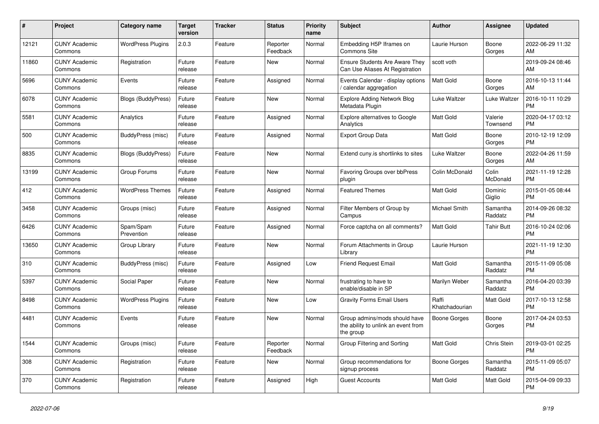| #     | Project                         | <b>Category name</b>      | <b>Target</b><br>version | <b>Tracker</b> | <b>Status</b>        | <b>Priority</b><br>name | <b>Subject</b>                                                                    | <b>Author</b>           | Assignee            | <b>Updated</b>                |
|-------|---------------------------------|---------------------------|--------------------------|----------------|----------------------|-------------------------|-----------------------------------------------------------------------------------|-------------------------|---------------------|-------------------------------|
| 12121 | <b>CUNY Academic</b><br>Commons | <b>WordPress Plugins</b>  | 2.0.3                    | Feature        | Reporter<br>Feedback | Normal                  | Embedding H5P Iframes on<br><b>Commons Site</b>                                   | Laurie Hurson           | Boone<br>Gorges     | 2022-06-29 11:32<br>AM        |
| 11860 | <b>CUNY Academic</b><br>Commons | Registration              | Future<br>release        | Feature        | <b>New</b>           | Normal                  | <b>Ensure Students Are Aware They</b><br>Can Use Aliases At Registration          | scott voth              |                     | 2019-09-24 08:46<br>AM        |
| 5696  | <b>CUNY Academic</b><br>Commons | Events                    | Future<br>release        | Feature        | Assigned             | Normal                  | Events Calendar - display options<br>calendar aggregation                         | Matt Gold               | Boone<br>Gorges     | 2016-10-13 11:44<br>AM        |
| 6078  | <b>CUNY Academic</b><br>Commons | <b>Blogs (BuddyPress)</b> | Future<br>release        | Feature        | <b>New</b>           | Normal                  | <b>Explore Adding Network Blog</b><br>Metadata Plugin                             | Luke Waltzer            | Luke Waltzer        | 2016-10-11 10:29<br><b>PM</b> |
| 5581  | <b>CUNY Academic</b><br>Commons | Analytics                 | Future<br>release        | Feature        | Assigned             | Normal                  | Explore alternatives to Google<br>Analytics                                       | Matt Gold               | Valerie<br>Townsend | 2020-04-17 03:12<br><b>PM</b> |
| 500   | <b>CUNY Academic</b><br>Commons | BuddyPress (misc)         | Future<br>release        | Feature        | Assigned             | Normal                  | <b>Export Group Data</b>                                                          | Matt Gold               | Boone<br>Gorges     | 2010-12-19 12:09<br><b>PM</b> |
| 8835  | <b>CUNY Academic</b><br>Commons | <b>Blogs (BuddyPress)</b> | Future<br>release        | Feature        | <b>New</b>           | Normal                  | Extend cuny is shortlinks to sites                                                | Luke Waltzer            | Boone<br>Gorges     | 2022-04-26 11:59<br>AM        |
| 13199 | <b>CUNY Academic</b><br>Commons | Group Forums              | Future<br>release        | Feature        | <b>New</b>           | Normal                  | <b>Favoring Groups over bbPress</b><br>plugin                                     | Colin McDonald          | Colin<br>McDonald   | 2021-11-19 12:28<br><b>PM</b> |
| 412   | <b>CUNY Academic</b><br>Commons | <b>WordPress Themes</b>   | Future<br>release        | Feature        | Assigned             | Normal                  | <b>Featured Themes</b>                                                            | Matt Gold               | Dominic<br>Giglio   | 2015-01-05 08:44<br><b>PM</b> |
| 3458  | <b>CUNY Academic</b><br>Commons | Groups (misc)             | Future<br>release        | Feature        | Assigned             | Normal                  | Filter Members of Group by<br>Campus                                              | Michael Smith           | Samantha<br>Raddatz | 2014-09-26 08:32<br><b>PM</b> |
| 6426  | <b>CUNY Academic</b><br>Commons | Spam/Spam<br>Prevention   | Future<br>release        | Feature        | Assigned             | Normal                  | Force captcha on all comments?                                                    | <b>Matt Gold</b>        | <b>Tahir Butt</b>   | 2016-10-24 02:06<br><b>PM</b> |
| 13650 | <b>CUNY Academic</b><br>Commons | Group Library             | Future<br>release        | Feature        | New                  | Normal                  | Forum Attachments in Group<br>Library                                             | Laurie Hurson           |                     | 2021-11-19 12:30<br><b>PM</b> |
| 310   | <b>CUNY Academic</b><br>Commons | BuddyPress (misc)         | Future<br>release        | Feature        | Assigned             | Low                     | <b>Friend Request Email</b>                                                       | Matt Gold               | Samantha<br>Raddatz | 2015-11-09 05:08<br><b>PM</b> |
| 5397  | <b>CUNY Academic</b><br>Commons | Social Paper              | Future<br>release        | Feature        | New                  | Normal                  | frustrating to have to<br>enable/disable in SP                                    | Marilyn Weber           | Samantha<br>Raddatz | 2016-04-20 03:39<br><b>PM</b> |
| 8498  | <b>CUNY Academic</b><br>Commons | <b>WordPress Plugins</b>  | Future<br>release        | Feature        | New                  | Low                     | <b>Gravity Forms Email Users</b>                                                  | Raffi<br>Khatchadourian | Matt Gold           | 2017-10-13 12:58<br><b>PM</b> |
| 4481  | <b>CUNY Academic</b><br>Commons | Events                    | Future<br>release        | Feature        | <b>New</b>           | Normal                  | Group admins/mods should have<br>the ability to unlink an event from<br>the group | <b>Boone Gorges</b>     | Boone<br>Gorges     | 2017-04-24 03:53<br><b>PM</b> |
| 1544  | <b>CUNY Academic</b><br>Commons | Groups (misc)             | Future<br>release        | Feature        | Reporter<br>Feedback | Normal                  | Group Filtering and Sorting                                                       | Matt Gold               | Chris Stein         | 2019-03-01 02:25<br><b>PM</b> |
| 308   | <b>CUNY Academic</b><br>Commons | Registration              | Future<br>release        | Feature        | New                  | Normal                  | Group recommendations for<br>signup process                                       | Boone Gorges            | Samantha<br>Raddatz | 2015-11-09 05:07<br><b>PM</b> |
| 370   | <b>CUNY Academic</b><br>Commons | Registration              | Future<br>release        | Feature        | Assigned             | High                    | <b>Guest Accounts</b>                                                             | Matt Gold               | Matt Gold           | 2015-04-09 09:33<br><b>PM</b> |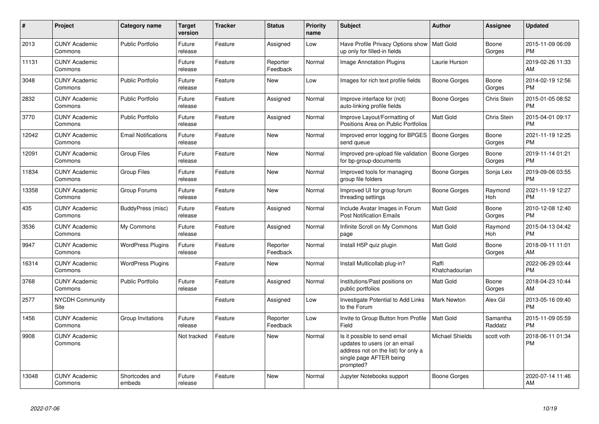| #     | Project                         | Category name              | Target<br>version | <b>Tracker</b> | <b>Status</b>        | <b>Priority</b><br>name | <b>Subject</b>                                                                                                                               | <b>Author</b>           | <b>Assignee</b>     | <b>Updated</b>                |
|-------|---------------------------------|----------------------------|-------------------|----------------|----------------------|-------------------------|----------------------------------------------------------------------------------------------------------------------------------------------|-------------------------|---------------------|-------------------------------|
| 2013  | <b>CUNY Academic</b><br>Commons | <b>Public Portfolio</b>    | Future<br>release | Feature        | Assigned             | Low                     | Have Profile Privacy Options show<br>up only for filled-in fields                                                                            | Matt Gold               | Boone<br>Gorges     | 2015-11-09 06:09<br><b>PM</b> |
| 11131 | <b>CUNY Academic</b><br>Commons |                            | Future<br>release | Feature        | Reporter<br>Feedback | Normal                  | Image Annotation Plugins                                                                                                                     | Laurie Hurson           |                     | 2019-02-26 11:33<br>AM        |
| 3048  | <b>CUNY Academic</b><br>Commons | <b>Public Portfolio</b>    | Future<br>release | Feature        | New                  | Low                     | Images for rich text profile fields                                                                                                          | Boone Gorges            | Boone<br>Gorges     | 2014-02-19 12:56<br><b>PM</b> |
| 2832  | <b>CUNY Academic</b><br>Commons | <b>Public Portfolio</b>    | Future<br>release | Feature        | Assigned             | Normal                  | Improve interface for (not)<br>auto-linking profile fields                                                                                   | Boone Gorges            | Chris Stein         | 2015-01-05 08:52<br><b>PM</b> |
| 3770  | <b>CUNY Academic</b><br>Commons | <b>Public Portfolio</b>    | Future<br>release | Feature        | Assigned             | Normal                  | Improve Layout/Formatting of<br>Positions Area on Public Portfolios                                                                          | Matt Gold               | Chris Stein         | 2015-04-01 09:17<br><b>PM</b> |
| 12042 | <b>CUNY Academic</b><br>Commons | <b>Email Notifications</b> | Future<br>release | Feature        | New                  | Normal                  | Improved error logging for BPGES<br>send queue                                                                                               | <b>Boone Gorges</b>     | Boone<br>Gorges     | 2021-11-19 12:25<br><b>PM</b> |
| 12091 | <b>CUNY Academic</b><br>Commons | <b>Group Files</b>         | Future<br>release | Feature        | <b>New</b>           | Normal                  | Improved pre-upload file validation<br>for bp-group-documents                                                                                | <b>Boone Gorges</b>     | Boone<br>Gorges     | 2019-11-14 01:21<br><b>PM</b> |
| 11834 | <b>CUNY Academic</b><br>Commons | Group Files                | Future<br>release | Feature        | <b>New</b>           | Normal                  | Improved tools for managing<br>group file folders                                                                                            | Boone Gorges            | Sonja Leix          | 2019-09-06 03:55<br><b>PM</b> |
| 13358 | <b>CUNY Academic</b><br>Commons | Group Forums               | Future<br>release | Feature        | <b>New</b>           | Normal                  | Improved UI for group forum<br>threading settings                                                                                            | Boone Gorges            | Raymond<br>Hoh      | 2021-11-19 12:27<br><b>PM</b> |
| 435   | <b>CUNY Academic</b><br>Commons | BuddyPress (misc)          | Future<br>release | Feature        | Assigned             | Normal                  | Include Avatar Images in Forum<br><b>Post Notification Emails</b>                                                                            | Matt Gold               | Boone<br>Gorges     | 2010-12-08 12:40<br><b>PM</b> |
| 3536  | <b>CUNY Academic</b><br>Commons | My Commons                 | Future<br>release | Feature        | Assigned             | Normal                  | Infinite Scroll on My Commons<br>page                                                                                                        | Matt Gold               | Raymond<br>Hoh      | 2015-04-13 04:42<br><b>PM</b> |
| 9947  | <b>CUNY Academic</b><br>Commons | <b>WordPress Plugins</b>   | Future<br>release | Feature        | Reporter<br>Feedback | Normal                  | Install H5P quiz plugin                                                                                                                      | Matt Gold               | Boone<br>Gorges     | 2018-09-11 11:01<br>AM        |
| 16314 | <b>CUNY Academic</b><br>Commons | <b>WordPress Plugins</b>   |                   | Feature        | <b>New</b>           | Normal                  | Install Multicollab plug-in?                                                                                                                 | Raffi<br>Khatchadourian |                     | 2022-06-29 03:44<br><b>PM</b> |
| 3768  | <b>CUNY Academic</b><br>Commons | <b>Public Portfolio</b>    | Future<br>release | Feature        | Assigned             | Normal                  | Institutions/Past positions on<br>public portfolios                                                                                          | Matt Gold               | Boone<br>Gorges     | 2018-04-23 10:44<br>AM        |
| 2577  | <b>NYCDH Community</b><br>Site  |                            |                   | Feature        | Assigned             | Low                     | Investigate Potential to Add Links<br>to the Forum                                                                                           | Mark Newton             | Alex Gil            | 2013-05-16 09:40<br><b>PM</b> |
| 1456  | <b>CUNY Academic</b><br>Commons | Group Invitations          | Future<br>release | Feature        | Reporter<br>Feedback | Low                     | Invite to Group Button from Profile<br>Field                                                                                                 | Matt Gold               | Samantha<br>Raddatz | 2015-11-09 05:59<br><b>PM</b> |
| 9908  | <b>CUNY Academic</b><br>Commons |                            | Not tracked       | Feature        | New                  | Normal                  | Is it possible to send email<br>updates to users (or an email<br>address not on the list) for only a<br>single page AFTER being<br>prompted? | <b>Michael Shields</b>  | scott voth          | 2018-06-11 01:34<br><b>PM</b> |
| 13048 | <b>CUNY Academic</b><br>Commons | Shortcodes and<br>embeds   | Future<br>release | Feature        | <b>New</b>           | Normal                  | Jupyter Notebooks support                                                                                                                    | Boone Gorges            |                     | 2020-07-14 11:46<br>AM        |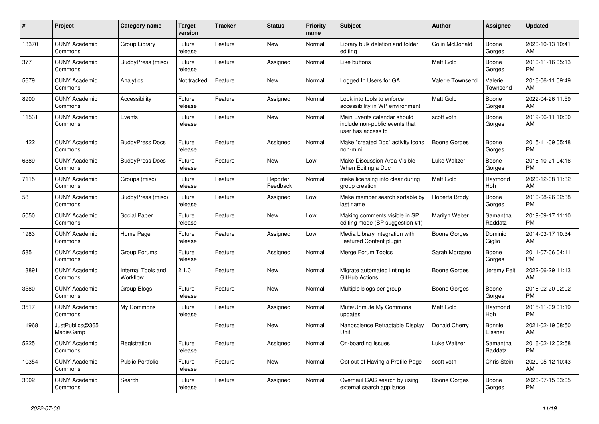| #     | <b>Project</b>                  | <b>Category name</b>           | Target<br>version | <b>Tracker</b> | <b>Status</b>        | <b>Priority</b><br>name | <b>Subject</b>                                                                      | <b>Author</b>           | Assignee            | <b>Updated</b>                |
|-------|---------------------------------|--------------------------------|-------------------|----------------|----------------------|-------------------------|-------------------------------------------------------------------------------------|-------------------------|---------------------|-------------------------------|
| 13370 | <b>CUNY Academic</b><br>Commons | Group Library                  | Future<br>release | Feature        | <b>New</b>           | Normal                  | Library bulk deletion and folder<br>editing                                         | Colin McDonald          | Boone<br>Gorges     | 2020-10-13 10:41<br>AM        |
| 377   | <b>CUNY Academic</b><br>Commons | BuddyPress (misc)              | Future<br>release | Feature        | Assigned             | Normal                  | Like buttons                                                                        | <b>Matt Gold</b>        | Boone<br>Gorges     | 2010-11-16 05:13<br><b>PM</b> |
| 5679  | <b>CUNY Academic</b><br>Commons | Analytics                      | Not tracked       | Feature        | New                  | Normal                  | Logged In Users for GA                                                              | <b>Valerie Townsend</b> | Valerie<br>Townsend | 2016-06-11 09:49<br>AM        |
| 8900  | <b>CUNY Academic</b><br>Commons | Accessibility                  | Future<br>release | Feature        | Assigned             | Normal                  | Look into tools to enforce<br>accessibility in WP environment                       | <b>Matt Gold</b>        | Boone<br>Gorges     | 2022-04-26 11:59<br>AM        |
| 11531 | <b>CUNY Academic</b><br>Commons | Events                         | Future<br>release | Feature        | New                  | Normal                  | Main Events calendar should<br>include non-public events that<br>user has access to | scott voth              | Boone<br>Gorges     | 2019-06-11 10:00<br>AM        |
| 1422  | <b>CUNY Academic</b><br>Commons | <b>BuddyPress Docs</b>         | Future<br>release | Feature        | Assigned             | Normal                  | Make "created Doc" activity icons<br>non-mini                                       | <b>Boone Gorges</b>     | Boone<br>Gorges     | 2015-11-09 05:48<br><b>PM</b> |
| 6389  | <b>CUNY Academic</b><br>Commons | <b>BuddyPress Docs</b>         | Future<br>release | Feature        | New                  | Low                     | Make Discussion Area Visible<br>When Editing a Doc                                  | Luke Waltzer            | Boone<br>Gorges     | 2016-10-21 04:16<br><b>PM</b> |
| 7115  | <b>CUNY Academic</b><br>Commons | Groups (misc)                  | Future<br>release | Feature        | Reporter<br>Feedback | Normal                  | make licensing info clear during<br>group creation                                  | Matt Gold               | Raymond<br>Hoh      | 2020-12-08 11:32<br><b>AM</b> |
| 58    | <b>CUNY Academic</b><br>Commons | BuddyPress (misc)              | Future<br>release | Feature        | Assigned             | Low                     | Make member search sortable by<br>last name                                         | Roberta Brody           | Boone<br>Gorges     | 2010-08-26 02:38<br><b>PM</b> |
| 5050  | <b>CUNY Academic</b><br>Commons | Social Paper                   | Future<br>release | Feature        | New                  | Low                     | Making comments visible in SP<br>editing mode (SP suggestion #1)                    | Marilyn Weber           | Samantha<br>Raddatz | 2019-09-17 11:10<br><b>PM</b> |
| 1983  | <b>CUNY Academic</b><br>Commons | Home Page                      | Future<br>release | Feature        | Assigned             | Low                     | Media Library integration with<br>Featured Content plugin                           | Boone Gorges            | Dominic<br>Giglio   | 2014-03-17 10:34<br>AM        |
| 585   | <b>CUNY Academic</b><br>Commons | Group Forums                   | Future<br>release | Feature        | Assigned             | Normal                  | Merge Forum Topics                                                                  | Sarah Morgano           | Boone<br>Gorges     | 2011-07-06 04:11<br><b>PM</b> |
| 13891 | <b>CUNY Academic</b><br>Commons | Internal Tools and<br>Workflow | 2.1.0             | Feature        | <b>New</b>           | Normal                  | Migrate automated linting to<br>GitHub Actions                                      | Boone Gorges            | Jeremy Felt         | 2022-06-29 11:13<br>AM        |
| 3580  | <b>CUNY Academic</b><br>Commons | Group Blogs                    | Future<br>release | Feature        | New                  | Normal                  | Multiple blogs per group                                                            | Boone Gorges            | Boone<br>Gorges     | 2018-02-20 02:02<br>PM        |
| 3517  | <b>CUNY Academic</b><br>Commons | My Commons                     | Future<br>release | Feature        | Assigned             | Normal                  | Mute/Unmute My Commons<br>updates                                                   | Matt Gold               | Raymond<br>Hoh      | 2015-11-09 01:19<br><b>PM</b> |
| 11968 | JustPublics@365<br>MediaCamp    |                                |                   | Feature        | <b>New</b>           | Normal                  | Nanoscience Retractable Display<br>Unit                                             | Donald Cherry           | Bonnie<br>Eissner   | 2021-02-19 08:50<br>AM        |
| 5225  | <b>CUNY Academic</b><br>Commons | Registration                   | Future<br>release | Feature        | Assigned             | Normal                  | On-boarding Issues                                                                  | Luke Waltzer            | Samantha<br>Raddatz | 2016-02-12 02:58<br><b>PM</b> |
| 10354 | <b>CUNY Academic</b><br>Commons | Public Portfolio               | Future<br>release | Feature        | New                  | Normal                  | Opt out of Having a Profile Page                                                    | scott voth              | Chris Stein         | 2020-05-12 10:43<br>AM        |
| 3002  | <b>CUNY Academic</b><br>Commons | Search                         | Future<br>release | Feature        | Assigned             | Normal                  | Overhaul CAC search by using<br>external search appliance                           | Boone Gorges            | Boone<br>Gorges     | 2020-07-15 03:05<br><b>PM</b> |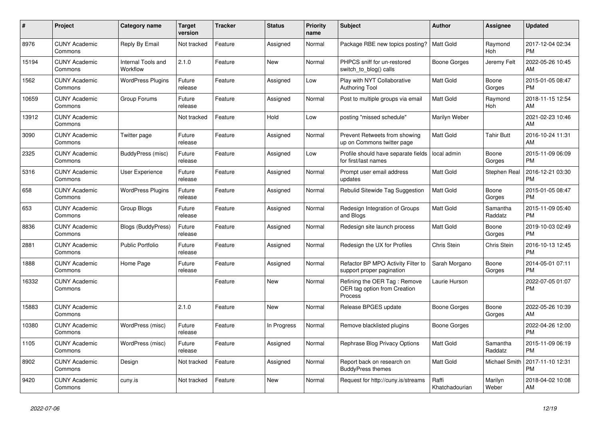| #     | <b>Project</b>                  | <b>Category name</b>           | <b>Target</b><br>version | <b>Tracker</b> | <b>Status</b> | Priority<br>name | <b>Subject</b>                                                          | <b>Author</b>           | Assignee            | <b>Updated</b>                |
|-------|---------------------------------|--------------------------------|--------------------------|----------------|---------------|------------------|-------------------------------------------------------------------------|-------------------------|---------------------|-------------------------------|
| 8976  | <b>CUNY Academic</b><br>Commons | Reply By Email                 | Not tracked              | Feature        | Assigned      | Normal           | Package RBE new topics posting?                                         | Matt Gold               | Raymond<br>Hoh      | 2017-12-04 02:34<br><b>PM</b> |
| 15194 | <b>CUNY Academic</b><br>Commons | Internal Tools and<br>Workflow | 2.1.0                    | Feature        | New           | Normal           | PHPCS sniff for un-restored<br>switch_to_blog() calls                   | Boone Gorges            | Jeremy Felt         | 2022-05-26 10:45<br>AM        |
| 1562  | <b>CUNY Academic</b><br>Commons | <b>WordPress Plugins</b>       | Future<br>release        | Feature        | Assigned      | Low              | Play with NYT Collaborative<br><b>Authoring Tool</b>                    | Matt Gold               | Boone<br>Gorges     | 2015-01-05 08:47<br><b>PM</b> |
| 10659 | <b>CUNY Academic</b><br>Commons | Group Forums                   | Future<br>release        | Feature        | Assigned      | Normal           | Post to multiple groups via email                                       | <b>Matt Gold</b>        | Raymond<br>Hoh      | 2018-11-15 12:54<br>AM        |
| 13912 | <b>CUNY Academic</b><br>Commons |                                | Not tracked              | Feature        | Hold          | Low              | posting "missed schedule"                                               | Marilyn Weber           |                     | 2021-02-23 10:46<br>AM        |
| 3090  | <b>CUNY Academic</b><br>Commons | Twitter page                   | Future<br>release        | Feature        | Assigned      | Normal           | Prevent Retweets from showing<br>up on Commons twitter page             | Matt Gold               | Tahir Butt          | 2016-10-24 11:31<br>AM        |
| 2325  | <b>CUNY Academic</b><br>Commons | BuddyPress (misc)              | Future<br>release        | Feature        | Assigned      | Low              | Profile should have separate fields<br>for first/last names             | l local admin           | Boone<br>Gorges     | 2015-11-09 06:09<br><b>PM</b> |
| 5316  | <b>CUNY Academic</b><br>Commons | User Experience                | Future<br>release        | Feature        | Assigned      | Normal           | Prompt user email address<br>updates                                    | <b>Matt Gold</b>        | Stephen Real        | 2016-12-21 03:30<br><b>PM</b> |
| 658   | <b>CUNY Academic</b><br>Commons | <b>WordPress Plugins</b>       | Future<br>release        | Feature        | Assigned      | Normal           | Rebulid Sitewide Tag Suggestion                                         | <b>Matt Gold</b>        | Boone<br>Gorges     | 2015-01-05 08:47<br><b>PM</b> |
| 653   | <b>CUNY Academic</b><br>Commons | Group Blogs                    | Future<br>release        | Feature        | Assigned      | Normal           | Redesign Integration of Groups<br>and Blogs                             | <b>Matt Gold</b>        | Samantha<br>Raddatz | 2015-11-09 05:40<br><b>PM</b> |
| 8836  | <b>CUNY Academic</b><br>Commons | <b>Blogs (BuddyPress)</b>      | Future<br>release        | Feature        | Assigned      | Normal           | Redesign site launch process                                            | <b>Matt Gold</b>        | Boone<br>Gorges     | 2019-10-03 02:49<br><b>PM</b> |
| 2881  | <b>CUNY Academic</b><br>Commons | <b>Public Portfolio</b>        | Future<br>release        | Feature        | Assigned      | Normal           | Redesign the UX for Profiles                                            | Chris Stein             | Chris Stein         | 2016-10-13 12:45<br><b>PM</b> |
| 1888  | <b>CUNY Academic</b><br>Commons | Home Page                      | Future<br>release        | Feature        | Assigned      | Normal           | Refactor BP MPO Activity Filter to<br>support proper pagination         | Sarah Morgano           | Boone<br>Gorges     | 2014-05-01 07:11<br><b>PM</b> |
| 16332 | <b>CUNY Academic</b><br>Commons |                                |                          | Feature        | <b>New</b>    | Normal           | Refining the OER Tag: Remove<br>OER tag option from Creation<br>Process | Laurie Hurson           |                     | 2022-07-05 01:07<br><b>PM</b> |
| 15883 | <b>CUNY Academic</b><br>Commons |                                | 2.1.0                    | Feature        | <b>New</b>    | Normal           | Release BPGES update                                                    | Boone Gorges            | Boone<br>Gorges     | 2022-05-26 10:39<br>AM        |
| 10380 | <b>CUNY Academic</b><br>Commons | WordPress (misc)               | Future<br>release        | Feature        | In Progress   | Normal           | Remove blacklisted plugins                                              | Boone Gorges            |                     | 2022-04-26 12:00<br><b>PM</b> |
| 1105  | <b>CUNY Academic</b><br>Commons | WordPress (misc)               | Future<br>release        | Feature        | Assigned      | Normal           | Rephrase Blog Privacy Options                                           | <b>Matt Gold</b>        | Samantha<br>Raddatz | 2015-11-09 06:19<br><b>PM</b> |
| 8902  | <b>CUNY Academic</b><br>Commons | Design                         | Not tracked              | Feature        | Assigned      | Normal           | Report back on research on<br><b>BuddyPress themes</b>                  | <b>Matt Gold</b>        | Michael Smith       | 2017-11-10 12:31<br><b>PM</b> |
| 9420  | <b>CUNY Academic</b><br>Commons | cuny.is                        | Not tracked              | Feature        | <b>New</b>    | Normal           | Request for http://cuny.is/streams                                      | Raffi<br>Khatchadourian | Marilyn<br>Weber    | 2018-04-02 10:08<br>AM        |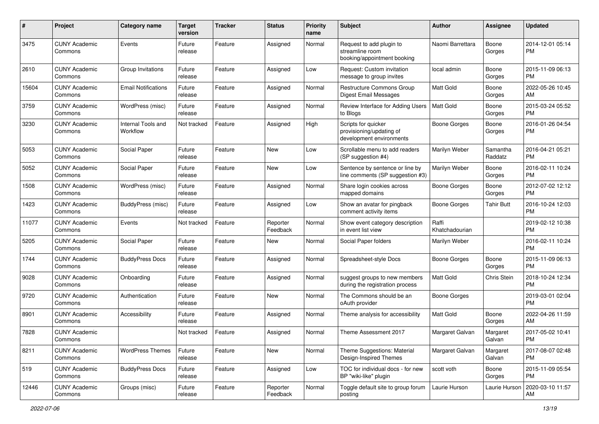| #     | Project                         | <b>Category name</b>           | <b>Target</b><br>version | <b>Tracker</b> | <b>Status</b>        | <b>Priority</b><br>name | Subject                                                                     | Author                  | <b>Assignee</b>     | <b>Updated</b>                |
|-------|---------------------------------|--------------------------------|--------------------------|----------------|----------------------|-------------------------|-----------------------------------------------------------------------------|-------------------------|---------------------|-------------------------------|
| 3475  | <b>CUNY Academic</b><br>Commons | Events                         | Future<br>release        | Feature        | Assigned             | Normal                  | Request to add plugin to<br>streamline room<br>booking/appointment booking  | Naomi Barrettara        | Boone<br>Gorges     | 2014-12-01 05:14<br><b>PM</b> |
| 2610  | <b>CUNY Academic</b><br>Commons | Group Invitations              | Future<br>release        | Feature        | Assigned             | Low                     | Request: Custom invitation<br>message to group invites                      | local admin             | Boone<br>Gorges     | 2015-11-09 06:13<br><b>PM</b> |
| 15604 | <b>CUNY Academic</b><br>Commons | <b>Email Notifications</b>     | Future<br>release        | Feature        | Assigned             | Normal                  | Restructure Commons Group<br><b>Digest Email Messages</b>                   | Matt Gold               | Boone<br>Gorges     | 2022-05-26 10:45<br>AM        |
| 3759  | <b>CUNY Academic</b><br>Commons | WordPress (misc)               | Future<br>release        | Feature        | Assigned             | Normal                  | Review Interface for Adding Users<br>to Blogs                               | <b>Matt Gold</b>        | Boone<br>Gorges     | 2015-03-24 05:52<br><b>PM</b> |
| 3230  | <b>CUNY Academic</b><br>Commons | Internal Tools and<br>Workflow | Not tracked              | Feature        | Assigned             | High                    | Scripts for quicker<br>provisioning/updating of<br>development environments | <b>Boone Gorges</b>     | Boone<br>Gorges     | 2016-01-26 04:54<br><b>PM</b> |
| 5053  | <b>CUNY Academic</b><br>Commons | Social Paper                   | Future<br>release        | Feature        | New                  | Low                     | Scrollable menu to add readers<br>(SP suggestion #4)                        | Marilyn Weber           | Samantha<br>Raddatz | 2016-04-21 05:21<br><b>PM</b> |
| 5052  | <b>CUNY Academic</b><br>Commons | Social Paper                   | Future<br>release        | Feature        | New                  | Low                     | Sentence by sentence or line by<br>line comments (SP suggestion #3)         | Marilyn Weber           | Boone<br>Gorges     | 2016-02-11 10:24<br><b>PM</b> |
| 1508  | <b>CUNY Academic</b><br>Commons | WordPress (misc)               | Future<br>release        | Feature        | Assigned             | Normal                  | Share login cookies across<br>mapped domains                                | <b>Boone Gorges</b>     | Boone<br>Gorges     | 2012-07-02 12:12<br><b>PM</b> |
| 1423  | <b>CUNY Academic</b><br>Commons | BuddyPress (misc)              | Future<br>release        | Feature        | Assigned             | Low                     | Show an avatar for pingback<br>comment activity items                       | <b>Boone Gorges</b>     | <b>Tahir Butt</b>   | 2016-10-24 12:03<br><b>PM</b> |
| 11077 | <b>CUNY Academic</b><br>Commons | Events                         | Not tracked              | Feature        | Reporter<br>Feedback | Normal                  | Show event category description<br>in event list view                       | Raffi<br>Khatchadourian |                     | 2019-02-12 10:38<br><b>PM</b> |
| 5205  | <b>CUNY Academic</b><br>Commons | Social Paper                   | Future<br>release        | Feature        | New                  | Normal                  | Social Paper folders                                                        | Marilyn Weber           |                     | 2016-02-11 10:24<br><b>PM</b> |
| 1744  | <b>CUNY Academic</b><br>Commons | <b>BuddyPress Docs</b>         | Future<br>release        | Feature        | Assigned             | Normal                  | Spreadsheet-style Docs                                                      | Boone Gorges            | Boone<br>Gorges     | 2015-11-09 06:13<br><b>PM</b> |
| 9028  | <b>CUNY Academic</b><br>Commons | Onboarding                     | Future<br>release        | Feature        | Assigned             | Normal                  | suggest groups to new members<br>during the registration process            | <b>Matt Gold</b>        | Chris Stein         | 2018-10-24 12:34<br><b>PM</b> |
| 9720  | <b>CUNY Academic</b><br>Commons | Authentication                 | Future<br>release        | Feature        | New                  | Normal                  | The Commons should be an<br>oAuth provider                                  | <b>Boone Gorges</b>     |                     | 2019-03-01 02:04<br><b>PM</b> |
| 8901  | <b>CUNY Academic</b><br>Commons | Accessibility                  | Future<br>release        | Feature        | Assigned             | Normal                  | Theme analysis for accessibility                                            | <b>Matt Gold</b>        | Boone<br>Gorges     | 2022-04-26 11:59<br>AM        |
| 7828  | <b>CUNY Academic</b><br>Commons |                                | Not tracked              | Feature        | Assigned             | Normal                  | Theme Assessment 2017                                                       | Margaret Galvan         | Margaret<br>Galvan  | 2017-05-02 10:41<br>PM        |
| 8211  | <b>CUNY Academic</b><br>Commons | <b>WordPress Themes</b>        | Future<br>release        | Feature        | New                  | Normal                  | Theme Suggestions: Material<br>Design-Inspired Themes                       | Margaret Galvan         | Margaret<br>Galvan  | 2017-08-07 02:48<br><b>PM</b> |
| 519   | <b>CUNY Academic</b><br>Commons | <b>BuddyPress Docs</b>         | Future<br>release        | Feature        | Assigned             | Low                     | TOC for individual docs - for new<br>BP "wiki-like" plugin                  | scott voth              | Boone<br>Gorges     | 2015-11-09 05:54<br><b>PM</b> |
| 12446 | <b>CUNY Academic</b><br>Commons | Groups (misc)                  | Future<br>release        | Feature        | Reporter<br>Feedback | Normal                  | Toggle default site to group forum<br>posting                               | Laurie Hurson           | Laurie Hurson       | 2020-03-10 11:57<br>AM        |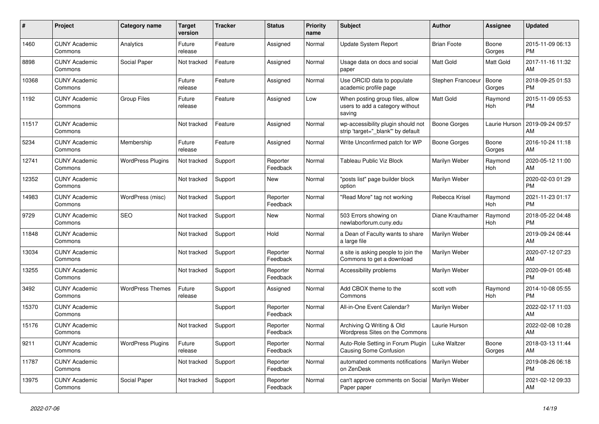| #     | Project                         | Category name            | <b>Target</b><br>version | <b>Tracker</b> | <b>Status</b>        | <b>Priority</b><br>name | <b>Subject</b>                                                               | <b>Author</b>      | Assignee        | <b>Updated</b>                |
|-------|---------------------------------|--------------------------|--------------------------|----------------|----------------------|-------------------------|------------------------------------------------------------------------------|--------------------|-----------------|-------------------------------|
| 1460  | <b>CUNY Academic</b><br>Commons | Analytics                | Future<br>release        | Feature        | Assigned             | Normal                  | <b>Update System Report</b>                                                  | <b>Brian Foote</b> | Boone<br>Gorges | 2015-11-09 06:13<br><b>PM</b> |
| 8898  | <b>CUNY Academic</b><br>Commons | Social Paper             | Not tracked              | Feature        | Assigned             | Normal                  | Usage data on docs and social<br>paper                                       | <b>Matt Gold</b>   | Matt Gold       | 2017-11-16 11:32<br>AM        |
| 10368 | <b>CUNY Academic</b><br>Commons |                          | Future<br>release        | Feature        | Assigned             | Normal                  | Use ORCID data to populate<br>academic profile page                          | Stephen Francoeur  | Boone<br>Gorges | 2018-09-25 01:53<br><b>PM</b> |
| 1192  | <b>CUNY Academic</b><br>Commons | <b>Group Files</b>       | Future<br>release        | Feature        | Assigned             | Low                     | When posting group files, allow<br>users to add a category without<br>saving | <b>Matt Gold</b>   | Raymond<br>Hoh  | 2015-11-09 05:53<br><b>PM</b> |
| 11517 | <b>CUNY Academic</b><br>Commons |                          | Not tracked              | Feature        | Assigned             | Normal                  | wp-accessibility plugin should not<br>strip 'target="_blank"' by default     | Boone Gorges       | Laurie Hurson   | 2019-09-24 09:57<br>AM        |
| 5234  | <b>CUNY Academic</b><br>Commons | Membership               | Future<br>release        | Feature        | Assigned             | Normal                  | Write Unconfirmed patch for WP                                               | Boone Gorges       | Boone<br>Gorges | 2016-10-24 11:18<br>AM        |
| 12741 | <b>CUNY Academic</b><br>Commons | <b>WordPress Plugins</b> | Not tracked              | Support        | Reporter<br>Feedback | Normal                  | Tableau Public Viz Block                                                     | Marilyn Weber      | Raymond<br>Hoh  | 2020-05-12 11:00<br>AM        |
| 12352 | <b>CUNY Academic</b><br>Commons |                          | Not tracked              | Support        | New                  | Normal                  | "posts list" page builder block<br>option                                    | Marilyn Weber      |                 | 2020-02-03 01:29<br><b>PM</b> |
| 14983 | <b>CUNY Academic</b><br>Commons | WordPress (misc)         | Not tracked              | Support        | Reporter<br>Feedback | Normal                  | "Read More" tag not working                                                  | Rebecca Krisel     | Raymond<br>Hoh  | 2021-11-23 01:17<br><b>PM</b> |
| 9729  | <b>CUNY Academic</b><br>Commons | <b>SEO</b>               | Not tracked              | Support        | <b>New</b>           | Normal                  | 503 Errors showing on<br>newlaborforum.cuny.edu                              | Diane Krauthamer   | Raymond<br>Hoh  | 2018-05-22 04:48<br><b>PM</b> |
| 11848 | <b>CUNY Academic</b><br>Commons |                          | Not tracked              | Support        | Hold                 | Normal                  | a Dean of Faculty wants to share<br>a large file                             | Marilyn Weber      |                 | 2019-09-24 08:44<br>AM        |
| 13034 | <b>CUNY Academic</b><br>Commons |                          | Not tracked              | Support        | Reporter<br>Feedback | Normal                  | a site is asking people to join the<br>Commons to get a download             | Marilyn Weber      |                 | 2020-07-12 07:23<br>AM        |
| 13255 | <b>CUNY Academic</b><br>Commons |                          | Not tracked              | Support        | Reporter<br>Feedback | Normal                  | Accessibility problems                                                       | Marilyn Weber      |                 | 2020-09-01 05:48<br><b>PM</b> |
| 3492  | <b>CUNY Academic</b><br>Commons | <b>WordPress Themes</b>  | Future<br>release        | Support        | Assigned             | Normal                  | Add CBOX theme to the<br>Commons                                             | scott voth         | Raymond<br>Hoh  | 2014-10-08 05:55<br><b>PM</b> |
| 15370 | <b>CUNY Academic</b><br>Commons |                          |                          | Support        | Reporter<br>Feedback | Normal                  | All-in-One Event Calendar?                                                   | Marilyn Weber      |                 | 2022-02-17 11:03<br>AM        |
| 15176 | <b>CUNY Academic</b><br>Commons |                          | Not tracked              | Support        | Reporter<br>Feedback | Normal                  | Archiving Q Writing & Old<br>Wordpress Sites on the Commons                  | Laurie Hurson      |                 | 2022-02-08 10:28<br>AM        |
| 9211  | <b>CUNY Academic</b><br>Commons | <b>WordPress Plugins</b> | Future<br>release        | Support        | Reporter<br>Feedback | Normal                  | Auto-Role Setting in Forum Plugin<br>Causing Some Confusion                  | Luke Waltzer       | Boone<br>Gorges | 2018-03-13 11:44<br>AM        |
| 11787 | <b>CUNY Academic</b><br>Commons |                          | Not tracked              | Support        | Reporter<br>Feedback | Normal                  | automated comments notifications<br>on ZenDesk                               | Marilyn Weber      |                 | 2019-08-26 06:18<br><b>PM</b> |
| 13975 | <b>CUNY Academic</b><br>Commons | Social Paper             | Not tracked              | Support        | Reporter<br>Feedback | Normal                  | can't approve comments on Social<br>Paper paper                              | Marilyn Weber      |                 | 2021-02-12 09:33<br>AM        |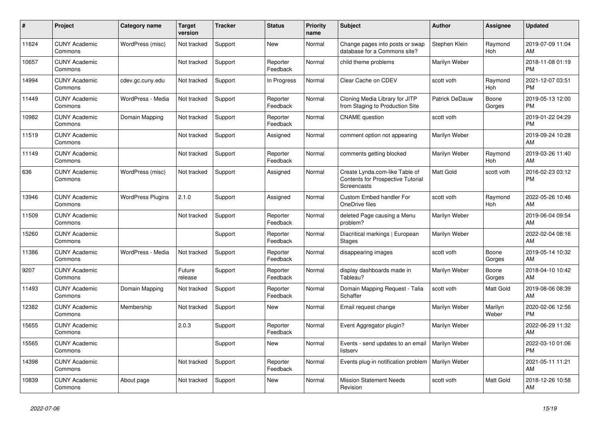| #     | <b>Project</b>                  | <b>Category name</b>     | <b>Target</b><br>version | <b>Tracker</b> | <b>Status</b>        | <b>Priority</b><br>name | <b>Subject</b>                                                                     | <b>Author</b>    | Assignee         | <b>Updated</b>                |
|-------|---------------------------------|--------------------------|--------------------------|----------------|----------------------|-------------------------|------------------------------------------------------------------------------------|------------------|------------------|-------------------------------|
| 11624 | <b>CUNY Academic</b><br>Commons | WordPress (misc)         | Not tracked              | Support        | New                  | Normal                  | Change pages into posts or swap<br>database for a Commons site?                    | Stephen Klein    | Raymond<br>Hoh   | 2019-07-09 11:04<br>AM        |
| 10657 | <b>CUNY Academic</b><br>Commons |                          | Not tracked              | Support        | Reporter<br>Feedback | Normal                  | child theme problems                                                               | Marilyn Weber    |                  | 2018-11-08 01:19<br><b>PM</b> |
| 14994 | <b>CUNY Academic</b><br>Commons | cdev.gc.cuny.edu         | Not tracked              | Support        | In Progress          | Normal                  | Clear Cache on CDEV                                                                | scott voth       | Raymond<br>Hoh   | 2021-12-07 03:51<br><b>PM</b> |
| 11449 | <b>CUNY Academic</b><br>Commons | WordPress - Media        | Not tracked              | Support        | Reporter<br>Feedback | Normal                  | Cloning Media Library for JITP<br>from Staging to Production Site                  | Patrick DeDauw   | Boone<br>Gorges  | 2019-05-13 12:00<br><b>PM</b> |
| 10982 | <b>CUNY Academic</b><br>Commons | Domain Mapping           | Not tracked              | Support        | Reporter<br>Feedback | Normal                  | <b>CNAME</b> question                                                              | scott voth       |                  | 2019-01-22 04:29<br><b>PM</b> |
| 11519 | <b>CUNY Academic</b><br>Commons |                          | Not tracked              | Support        | Assigned             | Normal                  | comment option not appearing                                                       | Marilyn Weber    |                  | 2019-09-24 10:28<br>AM        |
| 11149 | <b>CUNY Academic</b><br>Commons |                          | Not tracked              | Support        | Reporter<br>Feedback | Normal                  | comments getting blocked                                                           | Marilyn Weber    | Raymond<br>Hoh   | 2019-03-26 11:40<br>AM        |
| 636   | <b>CUNY Academic</b><br>Commons | WordPress (misc)         | Not tracked              | Support        | Assigned             | Normal                  | Create Lynda.com-like Table of<br>Contents for Prospective Tutorial<br>Screencasts | <b>Matt Gold</b> | scott voth       | 2016-02-23 03:12<br><b>PM</b> |
| 13946 | <b>CUNY Academic</b><br>Commons | <b>WordPress Plugins</b> | 2.1.0                    | Support        | Assigned             | Normal                  | Custom Embed handler For<br>OneDrive files                                         | scott voth       | Raymond<br>Hoh   | 2022-05-26 10:46<br>AM        |
| 11509 | <b>CUNY Academic</b><br>Commons |                          | Not tracked              | Support        | Reporter<br>Feedback | Normal                  | deleted Page causing a Menu<br>problem?                                            | Marilyn Weber    |                  | 2019-06-04 09:54<br>AM        |
| 15260 | <b>CUNY Academic</b><br>Commons |                          |                          | Support        | Reporter<br>Feedback | Normal                  | Diacritical markings   European<br><b>Stages</b>                                   | Marilyn Weber    |                  | 2022-02-04 08:16<br>AM        |
| 11386 | <b>CUNY Academic</b><br>Commons | WordPress - Media        | Not tracked              | Support        | Reporter<br>Feedback | Normal                  | disappearing images                                                                | scott voth       | Boone<br>Gorges  | 2019-05-14 10:32<br>AM        |
| 9207  | <b>CUNY Academic</b><br>Commons |                          | Future<br>release        | Support        | Reporter<br>Feedback | Normal                  | display dashboards made in<br>Tableau?                                             | Marilyn Weber    | Boone<br>Gorges  | 2018-04-10 10:42<br>AM        |
| 11493 | <b>CUNY Academic</b><br>Commons | Domain Mapping           | Not tracked              | Support        | Reporter<br>Feedback | Normal                  | Domain Mapping Request - Talia<br>Schaffer                                         | scott voth       | Matt Gold        | 2019-08-06 08:39<br>AM        |
| 12382 | <b>CUNY Academic</b><br>Commons | Membership               | Not tracked              | Support        | New                  | Normal                  | Email request change                                                               | Marilyn Weber    | Marilyn<br>Weber | 2020-02-06 12:56<br><b>PM</b> |
| 15655 | <b>CUNY Academic</b><br>Commons |                          | 2.0.3                    | Support        | Reporter<br>Feedback | Normal                  | Event Aggregator plugin?                                                           | Marilyn Weber    |                  | 2022-06-29 11:32<br>AM        |
| 15565 | <b>CUNY Academic</b><br>Commons |                          |                          | Support        | New                  | Normal                  | Events - send updates to an email<br>listserv                                      | Marilyn Weber    |                  | 2022-03-10 01:06<br><b>PM</b> |
| 14398 | <b>CUNY Academic</b><br>Commons |                          | Not tracked              | Support        | Reporter<br>Feedback | Normal                  | Events plug-in notification problem   Marilyn Weber                                |                  |                  | 2021-05-11 11:21<br>AM        |
| 10839 | <b>CUNY Academic</b><br>Commons | About page               | Not tracked              | Support        | <b>New</b>           | Normal                  | <b>Mission Statement Needs</b><br>Revision                                         | scott voth       | Matt Gold        | 2018-12-26 10:58<br>AM        |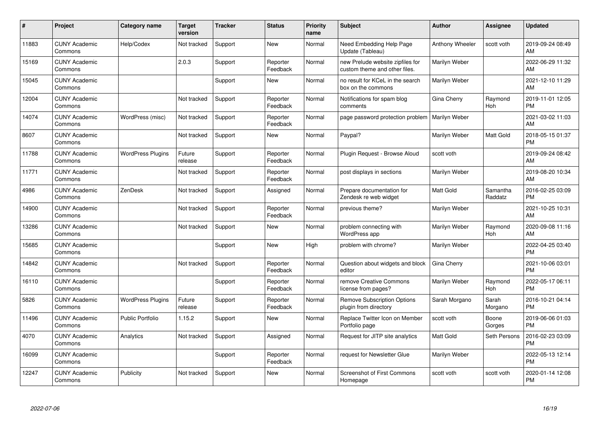| #     | Project                         | Category name            | Target<br>version | <b>Tracker</b> | <b>Status</b>        | <b>Priority</b><br>name | <b>Subject</b>                                                    | Author           | <b>Assignee</b>     | <b>Updated</b>                |
|-------|---------------------------------|--------------------------|-------------------|----------------|----------------------|-------------------------|-------------------------------------------------------------------|------------------|---------------------|-------------------------------|
| 11883 | <b>CUNY Academic</b><br>Commons | Help/Codex               | Not tracked       | Support        | <b>New</b>           | Normal                  | Need Embedding Help Page<br>Update (Tableau)                      | Anthony Wheeler  | scott voth          | 2019-09-24 08:49<br>AM        |
| 15169 | <b>CUNY Academic</b><br>Commons |                          | 2.0.3             | Support        | Reporter<br>Feedback | Normal                  | new Prelude website zipfiles for<br>custom theme and other files. | Marilyn Weber    |                     | 2022-06-29 11:32<br><b>AM</b> |
| 15045 | <b>CUNY Academic</b><br>Commons |                          |                   | Support        | <b>New</b>           | Normal                  | no result for KCeL in the search<br>box on the commons            | Marilyn Weber    |                     | 2021-12-10 11:29<br>AM        |
| 12004 | <b>CUNY Academic</b><br>Commons |                          | Not tracked       | Support        | Reporter<br>Feedback | Normal                  | Notifications for spam blog<br>comments                           | Gina Cherry      | Raymond<br>Hoh      | 2019-11-01 12:05<br><b>PM</b> |
| 14074 | <b>CUNY Academic</b><br>Commons | WordPress (misc)         | Not tracked       | Support        | Reporter<br>Feedback | Normal                  | page password protection problem                                  | Marilyn Weber    |                     | 2021-03-02 11:03<br>AM        |
| 8607  | <b>CUNY Academic</b><br>Commons |                          | Not tracked       | Support        | <b>New</b>           | Normal                  | Paypal?                                                           | Marilyn Weber    | Matt Gold           | 2018-05-15 01:37<br><b>PM</b> |
| 11788 | <b>CUNY Academic</b><br>Commons | <b>WordPress Plugins</b> | Future<br>release | Support        | Reporter<br>Feedback | Normal                  | Plugin Request - Browse Aloud                                     | scott voth       |                     | 2019-09-24 08:42<br>AM        |
| 11771 | <b>CUNY Academic</b><br>Commons |                          | Not tracked       | Support        | Reporter<br>Feedback | Normal                  | post displays in sections                                         | Marilyn Weber    |                     | 2019-08-20 10:34<br>AM        |
| 4986  | <b>CUNY Academic</b><br>Commons | ZenDesk                  | Not tracked       | Support        | Assigned             | Normal                  | Prepare documentation for<br>Zendesk re web widget                | <b>Matt Gold</b> | Samantha<br>Raddatz | 2016-02-25 03:09<br><b>PM</b> |
| 14900 | <b>CUNY Academic</b><br>Commons |                          | Not tracked       | Support        | Reporter<br>Feedback | Normal                  | previous theme?                                                   | Marilyn Weber    |                     | 2021-10-25 10:31<br>AM        |
| 13286 | <b>CUNY Academic</b><br>Commons |                          | Not tracked       | Support        | <b>New</b>           | Normal                  | problem connecting with<br>WordPress app                          | Marilyn Weber    | Raymond<br>Hoh      | 2020-09-08 11:16<br>AM        |
| 15685 | <b>CUNY Academic</b><br>Commons |                          |                   | Support        | <b>New</b>           | High                    | problem with chrome?                                              | Marilyn Weber    |                     | 2022-04-25 03:40<br><b>PM</b> |
| 14842 | <b>CUNY Academic</b><br>Commons |                          | Not tracked       | Support        | Reporter<br>Feedback | Normal                  | Question about widgets and block<br>editor                        | Gina Cherry      |                     | 2021-10-06 03:01<br><b>PM</b> |
| 16110 | <b>CUNY Academic</b><br>Commons |                          |                   | Support        | Reporter<br>Feedback | Normal                  | remove Creative Commons<br>license from pages?                    | Marilyn Weber    | Raymond<br>Hoh      | 2022-05-17 06:11<br><b>PM</b> |
| 5826  | <b>CUNY Academic</b><br>Commons | <b>WordPress Plugins</b> | Future<br>release | Support        | Reporter<br>Feedback | Normal                  | <b>Remove Subscription Options</b><br>plugin from directory       | Sarah Morgano    | Sarah<br>Morgano    | 2016-10-21 04:14<br><b>PM</b> |
| 11496 | <b>CUNY Academic</b><br>Commons | <b>Public Portfolio</b>  | 1.15.2            | Support        | New                  | Normal                  | Replace Twitter Icon on Member<br>Portfolio page                  | scott voth       | Boone<br>Gorges     | 2019-06-06 01:03<br><b>PM</b> |
| 4070  | <b>CUNY Academic</b><br>Commons | Analytics                | Not tracked       | Support        | Assigned             | Normal                  | Request for JITP site analytics                                   | <b>Matt Gold</b> | Seth Persons        | 2016-02-23 03:09<br><b>PM</b> |
| 16099 | <b>CUNY Academic</b><br>Commons |                          |                   | Support        | Reporter<br>Feedback | Normal                  | request for Newsletter Glue                                       | Marilyn Weber    |                     | 2022-05-13 12:14<br><b>PM</b> |
| 12247 | <b>CUNY Academic</b><br>Commons | Publicity                | Not tracked       | Support        | New                  | Normal                  | <b>Screenshot of First Commons</b><br>Homepage                    | scott voth       | scott voth          | 2020-01-14 12:08<br>PM        |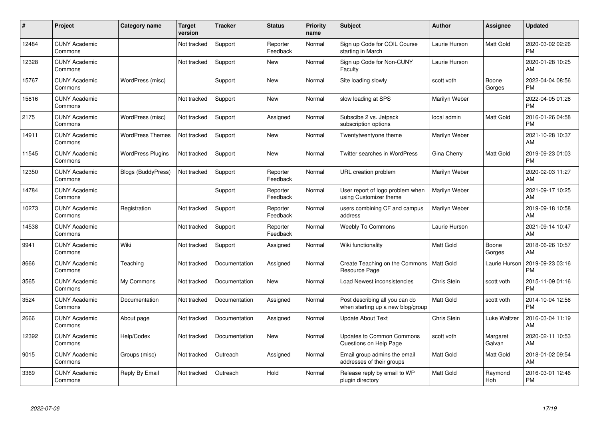| #     | Project                         | Category name             | Target<br>version | <b>Tracker</b> | <b>Status</b>        | <b>Priority</b><br>name | <b>Subject</b>                                                      | <b>Author</b>    | <b>Assignee</b>    | <b>Updated</b>                |
|-------|---------------------------------|---------------------------|-------------------|----------------|----------------------|-------------------------|---------------------------------------------------------------------|------------------|--------------------|-------------------------------|
| 12484 | <b>CUNY Academic</b><br>Commons |                           | Not tracked       | Support        | Reporter<br>Feedback | Normal                  | Sign up Code for COIL Course<br>starting in March                   | Laurie Hurson    | Matt Gold          | 2020-03-02 02:26<br><b>PM</b> |
| 12328 | <b>CUNY Academic</b><br>Commons |                           | Not tracked       | Support        | New                  | Normal                  | Sign up Code for Non-CUNY<br>Faculty                                | Laurie Hurson    |                    | 2020-01-28 10:25<br>AM        |
| 15767 | <b>CUNY Academic</b><br>Commons | WordPress (misc)          |                   | Support        | <b>New</b>           | Normal                  | Site loading slowly                                                 | scott voth       | Boone<br>Gorges    | 2022-04-04 08:56<br><b>PM</b> |
| 15816 | <b>CUNY Academic</b><br>Commons |                           | Not tracked       | Support        | <b>New</b>           | Normal                  | slow loading at SPS                                                 | Marilyn Weber    |                    | 2022-04-05 01:26<br><b>PM</b> |
| 2175  | <b>CUNY Academic</b><br>Commons | WordPress (misc)          | Not tracked       | Support        | Assigned             | Normal                  | Subscibe 2 vs. Jetpack<br>subscription options                      | local admin      | Matt Gold          | 2016-01-26 04:58<br><b>PM</b> |
| 14911 | <b>CUNY Academic</b><br>Commons | <b>WordPress Themes</b>   | Not tracked       | Support        | <b>New</b>           | Normal                  | Twentytwentyone theme                                               | Marilyn Weber    |                    | 2021-10-28 10:37<br>AM        |
| 11545 | <b>CUNY Academic</b><br>Commons | <b>WordPress Plugins</b>  | Not tracked       | Support        | New                  | Normal                  | Twitter searches in WordPress                                       | Gina Cherry      | Matt Gold          | 2019-09-23 01:03<br><b>PM</b> |
| 12350 | <b>CUNY Academic</b><br>Commons | <b>Blogs (BuddyPress)</b> | Not tracked       | Support        | Reporter<br>Feedback | Normal                  | URL creation problem                                                | Marilyn Weber    |                    | 2020-02-03 11:27<br>AM        |
| 14784 | <b>CUNY Academic</b><br>Commons |                           |                   | Support        | Reporter<br>Feedback | Normal                  | User report of logo problem when<br>using Customizer theme          | Marilyn Weber    |                    | 2021-09-17 10:25<br>AM        |
| 10273 | <b>CUNY Academic</b><br>Commons | Registration              | Not tracked       | Support        | Reporter<br>Feedback | Normal                  | users combining CF and campus<br>address                            | Marilyn Weber    |                    | 2019-09-18 10:58<br>AM        |
| 14538 | <b>CUNY Academic</b><br>Commons |                           | Not tracked       | Support        | Reporter<br>Feedback | Normal                  | Weebly To Commons                                                   | Laurie Hurson    |                    | 2021-09-14 10:47<br>AM        |
| 9941  | <b>CUNY Academic</b><br>Commons | Wiki                      | Not tracked       | Support        | Assigned             | Normal                  | Wiki functionality                                                  | Matt Gold        | Boone<br>Gorges    | 2018-06-26 10:57<br>AM        |
| 8666  | <b>CUNY Academic</b><br>Commons | Teaching                  | Not tracked       | Documentation  | Assigned             | Normal                  | Create Teaching on the Commons<br>Resource Page                     | Matt Gold        | Laurie Hurson      | 2019-09-23 03:16<br><b>PM</b> |
| 3565  | <b>CUNY Academic</b><br>Commons | My Commons                | Not tracked       | Documentation  | New                  | Normal                  | Load Newest inconsistencies                                         | Chris Stein      | scott voth         | 2015-11-09 01:16<br><b>PM</b> |
| 3524  | <b>CUNY Academic</b><br>Commons | Documentation             | Not tracked       | Documentation  | Assigned             | Normal                  | Post describing all you can do<br>when starting up a new blog/group | Matt Gold        | scott voth         | 2014-10-04 12:56<br><b>PM</b> |
| 2666  | <b>CUNY Academic</b><br>Commons | About page                | Not tracked       | Documentation  | Assigned             | Normal                  | <b>Update About Text</b>                                            | Chris Stein      | Luke Waltzer       | 2016-03-04 11:19<br>AM        |
| 12392 | <b>CUNY Academic</b><br>Commons | Help/Codex                | Not tracked       | Documentation  | New                  | Normal                  | <b>Updates to Common Commons</b><br>Questions on Help Page          | scott voth       | Margaret<br>Galvan | 2020-02-11 10:53<br>AM        |
| 9015  | <b>CUNY Academic</b><br>Commons | Groups (misc)             | Not tracked       | Outreach       | Assigned             | Normal                  | Email group admins the email<br>addresses of their groups           | Matt Gold        | Matt Gold          | 2018-01-02 09:54<br>AM        |
| 3369  | <b>CUNY Academic</b><br>Commons | Reply By Email            | Not tracked       | Outreach       | Hold                 | Normal                  | Release reply by email to WP<br>plugin directory                    | <b>Matt Gold</b> | Raymond<br>Hoh     | 2016-03-01 12:46<br>PM        |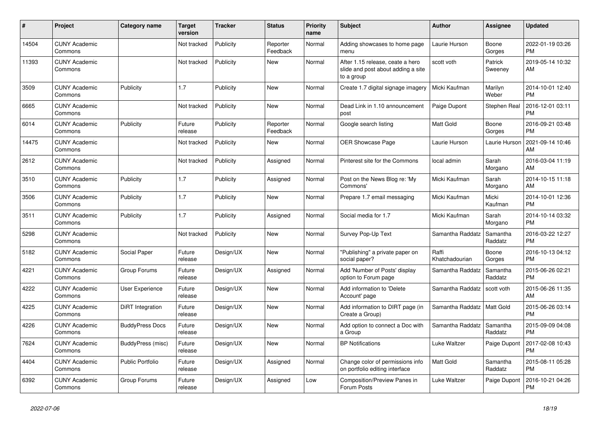| #     | Project                         | Category name          | <b>Target</b><br>version | <b>Tracker</b> | <b>Status</b>        | Priority<br>name | <b>Subject</b>                                                                       | <b>Author</b>           | <b>Assignee</b>     | <b>Updated</b>                |
|-------|---------------------------------|------------------------|--------------------------|----------------|----------------------|------------------|--------------------------------------------------------------------------------------|-------------------------|---------------------|-------------------------------|
| 14504 | <b>CUNY Academic</b><br>Commons |                        | Not tracked              | Publicity      | Reporter<br>Feedback | Normal           | Adding showcases to home page<br>menu                                                | Laurie Hurson           | Boone<br>Gorges     | 2022-01-19 03:26<br><b>PM</b> |
| 11393 | <b>CUNY Academic</b><br>Commons |                        | Not tracked              | Publicity      | New                  | Normal           | After 1.15 release, ceate a hero<br>slide and post about adding a site<br>to a group | scott voth              | Patrick<br>Sweeney  | 2019-05-14 10:32<br>AM        |
| 3509  | <b>CUNY Academic</b><br>Commons | Publicity              | 1.7                      | Publicity      | New                  | Normal           | Create 1.7 digital signage imagery                                                   | Micki Kaufman           | Marilyn<br>Weber    | 2014-10-01 12:40<br><b>PM</b> |
| 6665  | <b>CUNY Academic</b><br>Commons |                        | Not tracked              | Publicity      | <b>New</b>           | Normal           | Dead Link in 1.10 announcement<br>post                                               | Paige Dupont            | Stephen Real        | 2016-12-01 03:11<br><b>PM</b> |
| 6014  | <b>CUNY Academic</b><br>Commons | Publicity              | Future<br>release        | Publicity      | Reporter<br>Feedback | Normal           | Google search listing                                                                | <b>Matt Gold</b>        | Boone<br>Gorges     | 2016-09-21 03:48<br><b>PM</b> |
| 14475 | <b>CUNY Academic</b><br>Commons |                        | Not tracked              | Publicity      | <b>New</b>           | Normal           | <b>OER Showcase Page</b>                                                             | Laurie Hurson           | Laurie Hurson       | 2021-09-14 10:46<br>AM        |
| 2612  | <b>CUNY Academic</b><br>Commons |                        | Not tracked              | Publicity      | Assigned             | Normal           | Pinterest site for the Commons                                                       | local admin             | Sarah<br>Morgano    | 2016-03-04 11:19<br>AM        |
| 3510  | <b>CUNY Academic</b><br>Commons | Publicity              | 1.7                      | Publicity      | Assigned             | Normal           | Post on the News Blog re: 'My<br>Commons'                                            | Micki Kaufman           | Sarah<br>Morgano    | 2014-10-15 11:18<br>AM        |
| 3506  | <b>CUNY Academic</b><br>Commons | Publicity              | 1.7                      | Publicity      | <b>New</b>           | Normal           | Prepare 1.7 email messaging                                                          | Micki Kaufman           | Micki<br>Kaufman    | 2014-10-01 12:36<br><b>PM</b> |
| 3511  | <b>CUNY Academic</b><br>Commons | Publicity              | 1.7                      | Publicity      | Assigned             | Normal           | Social media for 1.7                                                                 | Micki Kaufman           | Sarah<br>Morgano    | 2014-10-14 03:32<br><b>PM</b> |
| 5298  | <b>CUNY Academic</b><br>Commons |                        | Not tracked              | Publicity      | New                  | Normal           | Survey Pop-Up Text                                                                   | Samantha Raddatz        | Samantha<br>Raddatz | 2016-03-22 12:27<br><b>PM</b> |
| 5182  | <b>CUNY Academic</b><br>Commons | Social Paper           | Future<br>release        | Design/UX      | <b>New</b>           | Normal           | "Publishing" a private paper on<br>social paper?                                     | Raffi<br>Khatchadourian | Boone<br>Gorges     | 2016-10-13 04:12<br><b>PM</b> |
| 4221  | <b>CUNY Academic</b><br>Commons | Group Forums           | Future<br>release        | Design/UX      | Assigned             | Normal           | Add 'Number of Posts' display<br>option to Forum page                                | Samantha Raddatz        | Samantha<br>Raddatz | 2015-06-26 02:21<br><b>PM</b> |
| 4222  | <b>CUNY Academic</b><br>Commons | User Experience        | Future<br>release        | Design/UX      | New                  | Normal           | Add information to 'Delete<br>Account' page                                          | Samantha Raddatz        | scott voth          | 2015-06-26 11:35<br>AM        |
| 4225  | <b>CUNY Academic</b><br>Commons | DiRT Integration       | Future<br>release        | Design/UX      | New                  | Normal           | Add information to DIRT page (in<br>Create a Group)                                  | Samantha Raddatz        | Matt Gold           | 2015-06-26 03:14<br><b>PM</b> |
| 4226  | <b>CUNY Academic</b><br>Commons | <b>BuddyPress Docs</b> | Future<br>release        | Design/UX      | <b>New</b>           | Normal           | Add option to connect a Doc with<br>a Group                                          | Samantha Raddatz        | Samantha<br>Raddatz | 2015-09-09 04:08<br><b>PM</b> |
| 7624  | <b>CUNY Academic</b><br>Commons | BuddyPress (misc)      | Future<br>release        | Design/UX      | <b>New</b>           | Normal           | <b>BP Notifications</b>                                                              | Luke Waltzer            | Paige Dupont        | 2017-02-08 10:43<br><b>PM</b> |
| 4404  | <b>CUNY Academic</b><br>Commons | Public Portfolio       | Future<br>release        | Design/UX      | Assigned             | Normal           | Change color of permissions info<br>on portfolio editing interface                   | <b>Matt Gold</b>        | Samantha<br>Raddatz | 2015-08-11 05:28<br><b>PM</b> |
| 6392  | <b>CUNY Academic</b><br>Commons | Group Forums           | Future<br>release        | Design/UX      | Assigned             | Low              | Composition/Preview Panes in<br>Forum Posts                                          | Luke Waltzer            | Paige Dupont        | 2016-10-21 04:26<br><b>PM</b> |